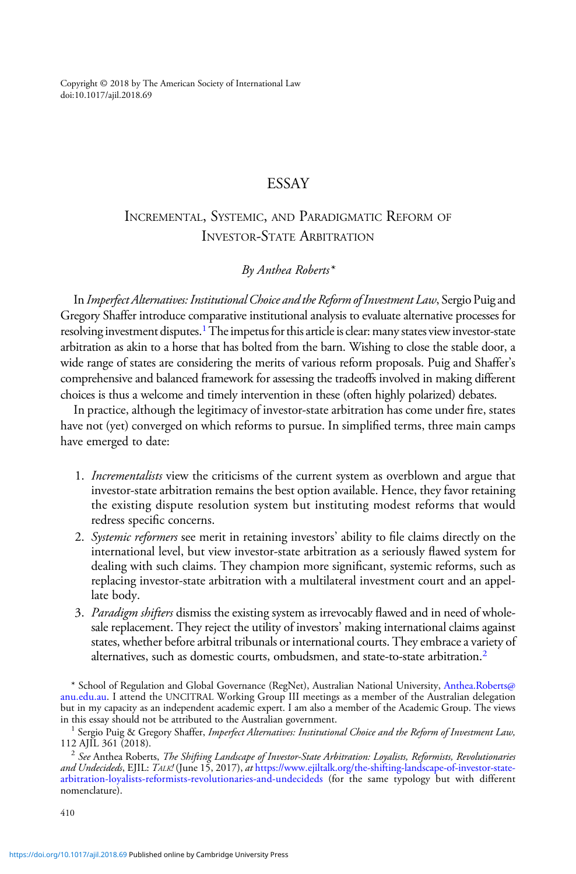Copyright © 2018 by The American Society of International Law doi:10.1017/ajil.2018.69

## ESSAY

# INCREMENTAL, SYSTEMIC, AND PARADIGMATIC REFORM OF INVESTOR-STATE ARBITRATION

## By Anthea Roberts\*

In Imperfect Alternatives: Institutional Choice and the Reform of Investment Law, Sergio Puig and Gregory Shaffer introduce comparative institutional analysis to evaluate alternative processes for resolving investment disputes.<sup>1</sup> The impetus for this article is clear: many states view investor-state arbitration as akin to a horse that has bolted from the barn. Wishing to close the stable door, a wide range of states are considering the merits of various reform proposals. Puig and Shaffer's comprehensive and balanced framework for assessing the tradeoffs involved in making different choices is thus a welcome and timely intervention in these (often highly polarized) debates.

In practice, although the legitimacy of investor-state arbitration has come under fire, states have not (yet) converged on which reforms to pursue. In simplified terms, three main camps have emerged to date:

- 1. Incrementalists view the criticisms of the current system as overblown and argue that investor-state arbitration remains the best option available. Hence, they favor retaining the existing dispute resolution system but instituting modest reforms that would redress specific concerns.
- 2. Systemic reformers see merit in retaining investors' ability to file claims directly on the international level, but view investor-state arbitration as a seriously flawed system for dealing with such claims. They champion more significant, systemic reforms, such as replacing investor-state arbitration with a multilateral investment court and an appellate body.
- 3. Paradigm shifters dismiss the existing system as irrevocably flawed and in need of wholesale replacement. They reject the utility of investors' making international claims against states, whether before arbitral tribunals or international courts. They embrace a variety of alternatives, such as domestic courts, ombudsmen, and state-to-state arbitration.<sup>2</sup>

\* School of Regulation and Global Governance (RegNet), Australian National University, [Anthea.Roberts@](mailto:Anthea.Roberts@anu.edu.au) [anu.edu.au](mailto:Anthea.Roberts@anu.edu.au). I attend the UNCITRAL Working Group III meetings as a member of the Australian delegation but in my capacity as an independent academic expert. I am also a member of the Academic Group. The views in this essay should not be attributed to the Australian government.

 $^{1}$  Sergio Puig & Gregory Shaffer, *Imperfect Alternatives: Institutional Choice and the Reform of Investment Law,*<br>112 AJIL 361 (2018). 112 AJIL 361 (2018).<br><sup>2</sup> See Anthea Roberts, *The Shifting Landscape of Investor-State Arbitration: Loyalists, Reformists, Revolutionaries* 

and Undecideds, EJIL: TALK! (June 15, 2017), at [https://www.ejiltalk.org/the-shifting-landscape-of-investor-state](https://www.ejiltalk.org/the-shifting-landscape-of-investor-state-arbitration-loyalists-reformists-revolutionaries-and-undecideds)[arbitration-loyalists-reformists-revolutionaries-and-undecideds](https://www.ejiltalk.org/the-shifting-landscape-of-investor-state-arbitration-loyalists-reformists-revolutionaries-and-undecideds) (for the same typology but with different nomenclature).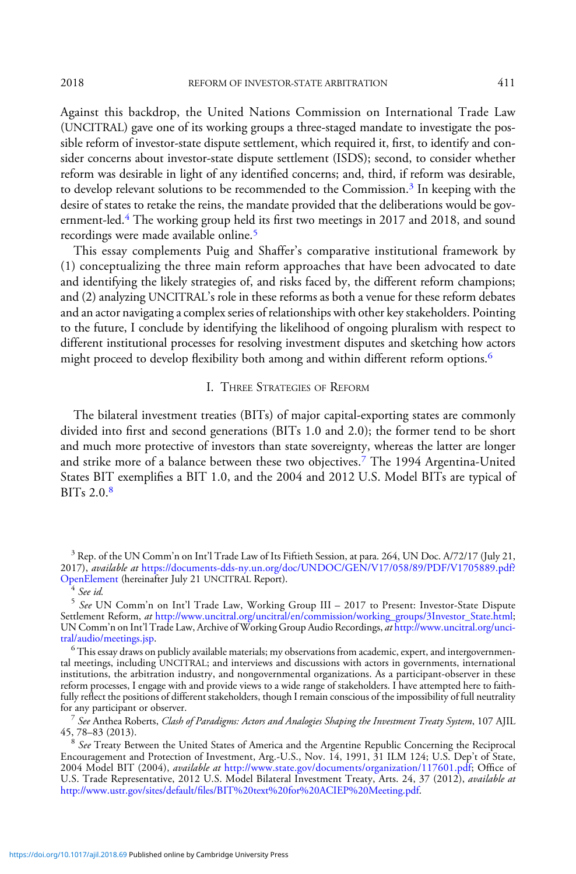Against this backdrop, the United Nations Commission on International Trade Law (UNCITRAL) gave one of its working groups a three-staged mandate to investigate the possible reform of investor-state dispute settlement, which required it, first, to identify and consider concerns about investor-state dispute settlement (ISDS); second, to consider whether reform was desirable in light of any identified concerns; and, third, if reform was desirable, to develop relevant solutions to be recommended to the Commission.<sup>3</sup> In keeping with the desire of states to retake the reins, the mandate provided that the deliberations would be government-led.<sup>4</sup> The working group held its first two meetings in 2017 and 2018, and sound recordings were made available online.<sup>5</sup>

This essay complements Puig and Shaffer's comparative institutional framework by (1) conceptualizing the three main reform approaches that have been advocated to date and identifying the likely strategies of, and risks faced by, the different reform champions; and (2) analyzing UNCITRAL's role in these reforms as both a venue for these reform debates and an actor navigating a complex series of relationships with other key stakeholders. Pointing to the future, I conclude by identifying the likelihood of ongoing pluralism with respect to different institutional processes for resolving investment disputes and sketching how actors might proceed to develop flexibility both among and within different reform options.<sup>6</sup>

#### I. THREE STRATEGIES OF REFORM

The bilateral investment treaties (BITs) of major capital-exporting states are commonly divided into first and second generations (BITs 1.0 and 2.0); the former tend to be short and much more protective of investors than state sovereignty, whereas the latter are longer and strike more of a balance between these two objectives.<sup>7</sup> The 1994 Argentina-United States BIT exemplifies a BIT 1.0, and the 2004 and 2012 U.S. Model BITs are typical of BITs 2.0.8

 $^6$  This essay draws on publicly available materials; my observations from academic, expert, and intergovernmental meetings, including UNCITRAL; and interviews and discussions with actors in governments, international institutions, the arbitration industry, and nongovernmental organizations. As a participant-observer in these reform processes, I engage with and provide views to a wide range of stakeholders. I have attempted here to faithfully reflect the positions of different stakeholders, though I remain conscious of the impossibility of full neutrality<br>for any participant or observer.

<sup>7</sup> See Anthea Roberts, *Clash of Paradigms: Actors and Analogies Shaping the Investment Treaty System*, 107 AJIL<br>45, 78–83 (2013).

 $8$  See Treaty Between the United States of America and the Argentine Republic Concerning the Reciprocal Encouragement and Protection of Investment, Arg.-U.S., Nov. 14, 1991, 31 ILM 124; U.S. Dep't of State, 2004 Model BIT (2004), available at [http://www.state.gov/documents/organization/117601.pdf;](http://www.state.gov/documents/organization/117601.pdf) Office of U.S. Trade Representative, 2012 U.S. Model Bilateral Investment Treaty, Arts. 24, 37 (2012), *available at* [http://](http://www.ustr.gov/sites/default/files/BIT%20text%20for%20ACIEP%20Meeting.pdf)www.ustr.gov/sites/default/fi[les/BIT%20text%20for%20ACIEP%20Meeting.pdf.](http://www.ustr.gov/sites/default/files/BIT%20text%20for%20ACIEP%20Meeting.pdf)

 $3$  Rep. of the UN Comm'n on Int'l Trade Law of Its Fiftieth Session, at para. 264, UN Doc. A/72/17 (July 21, 2017), available at [https://documents-dds-ny.un.org/doc/UNDOC/GEN/V17/058/89/PDF/V1705889.pdf?](https://documents-dds-ny.un.org/doc/UNDOC/GEN/V17/058/89/PDF/V1705889.pdf?OpenElement) [OpenElement](https://documents-dds-ny.un.org/doc/UNDOC/GEN/V17/058/89/PDF/V1705889.pdf?OpenElement) (hereinafter July 21 UNCITRAL Report). <sup>4</sup> See id.

<sup>5</sup> See UN Comm'n on Int'l Trade Law, Working Group III – 2017 to Present: Investor-State Dispute Settlement Reform, at [http://www.uncitral.org/uncitral/en/commission/working\\_groups/3Investor\\_State.html;](http://www.uncitral.org/uncitral/en/commission/working_groups/3Investor_State.html) UN Comm'n on Int'l Trade Law, Archive of Working Group Audio Recordings, at http://www.uncitral.org/unci-tral/audio/meetings.jsp.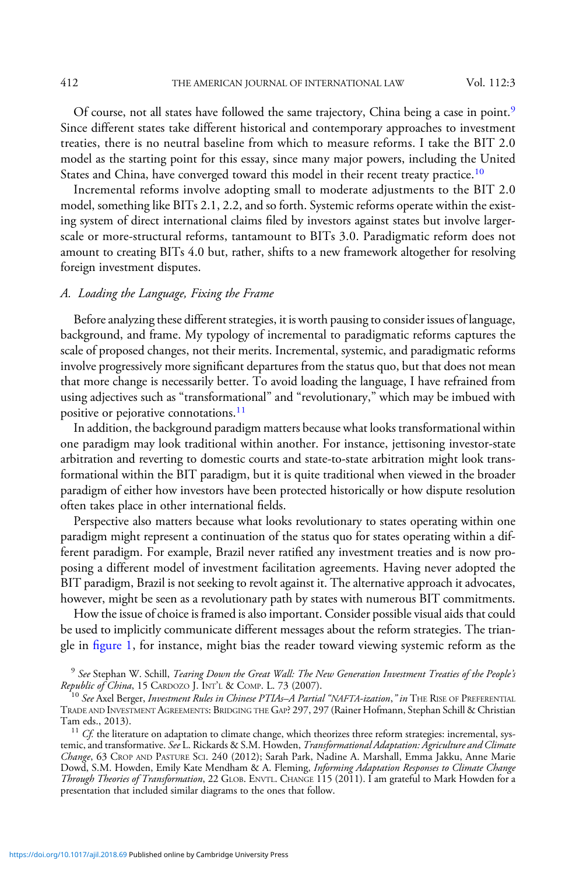412 THE AMERICAN JOURNAL OF INTERNATIONAL LAW Vol. 112:3

Of course, not all states have followed the same trajectory, China being a case in point.<sup>9</sup> Since different states take different historical and contemporary approaches to investment treaties, there is no neutral baseline from which to measure reforms. I take the BIT 2.0 model as the starting point for this essay, since many major powers, including the United States and China, have converged toward this model in their recent treaty practice.<sup>10</sup>

Incremental reforms involve adopting small to moderate adjustments to the BIT 2.0 model, something like BITs 2.1, 2.2, and so forth. Systemic reforms operate within the existing system of direct international claims filed by investors against states but involve largerscale or more-structural reforms, tantamount to BITs 3.0. Paradigmatic reform does not amount to creating BITs 4.0 but, rather, shifts to a new framework altogether for resolving foreign investment disputes.

#### A. Loading the Language, Fixing the Frame

Before analyzing these different strategies, it is worth pausing to consider issues of language, background, and frame. My typology of incremental to paradigmatic reforms captures the scale of proposed changes, not their merits. Incremental, systemic, and paradigmatic reforms involve progressively more significant departures from the status quo, but that does not mean that more change is necessarily better. To avoid loading the language, I have refrained from using adjectives such as "transformational" and "revolutionary," which may be imbued with positive or pejorative connotations.<sup>11</sup>

In addition, the background paradigm matters because what looks transformational within one paradigm may look traditional within another. For instance, jettisoning investor-state arbitration and reverting to domestic courts and state-to-state arbitration might look transformational within the BIT paradigm, but it is quite traditional when viewed in the broader paradigm of either how investors have been protected historically or how dispute resolution often takes place in other international fields.

Perspective also matters because what looks revolutionary to states operating within one paradigm might represent a continuation of the status quo for states operating within a different paradigm. For example, Brazil never ratified any investment treaties and is now proposing a different model of investment facilitation agreements. Having never adopted the BIT paradigm, Brazil is not seeking to revolt against it. The alternative approach it advocates, however, might be seen as a revolutionary path by states with numerous BIT commitments.

How the issue of choice is framed is also important. Consider possible visual aids that could be used to implicitly communicate different messages about the reform strategies. The triangle in fi[gure 1,](#page-3-0) for instance, might bias the reader toward viewing systemic reform as the

 $^9$  See Stephan W. Schill, *Tearing Down the Great Wall: The New Generation Investment Treaties of the People's* Republic of China, 15 CARDOZO J. INT'L & COMP. L. 73 (2007).

<sup>&</sup>lt;sup>10</sup> See Axel Berger, *Investment Rules in Chinese PTIAs–A Partial "NAFTA-ization," in* THE RISE OF PREFERENTIAL TRADE AND INVESTMENT AGREEMENTS: BRIDGING THE GAP? 297, 297 (Rainer Hofmann, Stephan Schill & Christian

 $11$  Cf. the literature on adaptation to climate change, which theorizes three reform strategies: incremental, systemic, and transformative. See L. Rickards & S.M. Howden, *Transformational Adaptation: Agriculture and Climate* Change, 63 CROP AND PASTURE SCI. 240 (2012); Sarah Park, Nadine A. Marshall, Emma Jakku, Anne Marie Dowd, S.M. Howden, Emily Kate Mendham & A. Fleming, *Informing Adaptation Responses to Climate Change* Through Theories of Transformation, 22 GLOB. ENVTL. CHANGE 115 (2011). I am grateful to Mark Howden for a presentation that included similar diagrams to the ones that follow.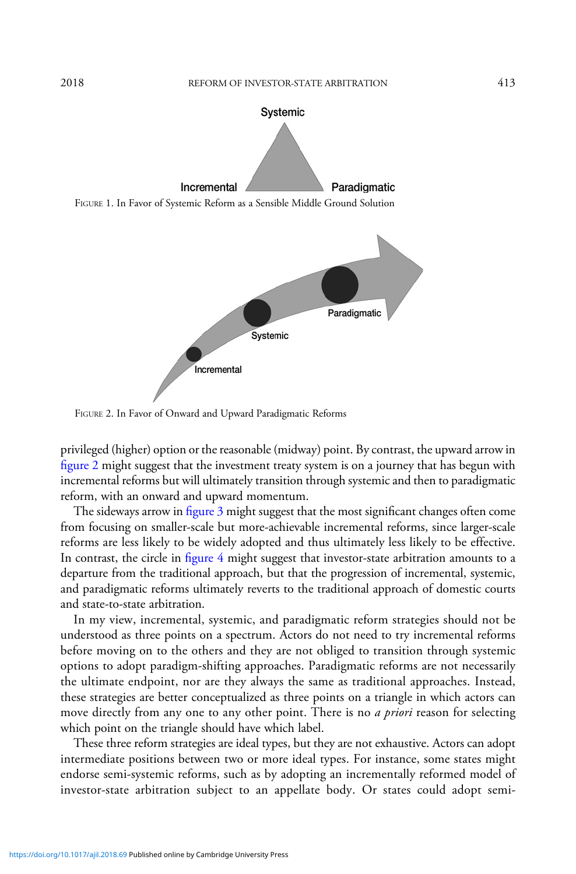<span id="page-3-0"></span>

FIGURE 2. In Favor of Onward and Upward Paradigmatic Reforms

privileged (higher) option or the reasonable (midway) point. By contrast, the upward arrow in figure 2 might suggest that the investment treaty system is on a journey that has begun with incremental reforms but will ultimately transition through systemic and then to paradigmatic reform, with an onward and upward momentum.

The sideways arrow in fi[gure 3](#page-4-0) might suggest that the most significant changes often come from focusing on smaller-scale but more-achievable incremental reforms, since larger-scale reforms are less likely to be widely adopted and thus ultimately less likely to be effective. In contrast, the circle in fi[gure 4](#page-4-0) might suggest that investor-state arbitration amounts to a departure from the traditional approach, but that the progression of incremental, systemic, and paradigmatic reforms ultimately reverts to the traditional approach of domestic courts and state-to-state arbitration.

In my view, incremental, systemic, and paradigmatic reform strategies should not be understood as three points on a spectrum. Actors do not need to try incremental reforms before moving on to the others and they are not obliged to transition through systemic options to adopt paradigm-shifting approaches. Paradigmatic reforms are not necessarily the ultimate endpoint, nor are they always the same as traditional approaches. Instead, these strategies are better conceptualized as three points on a triangle in which actors can move directly from any one to any other point. There is no *a priori* reason for selecting which point on the triangle should have which label.

These three reform strategies are ideal types, but they are not exhaustive. Actors can adopt intermediate positions between two or more ideal types. For instance, some states might endorse semi-systemic reforms, such as by adopting an incrementally reformed model of investor-state arbitration subject to an appellate body. Or states could adopt semi-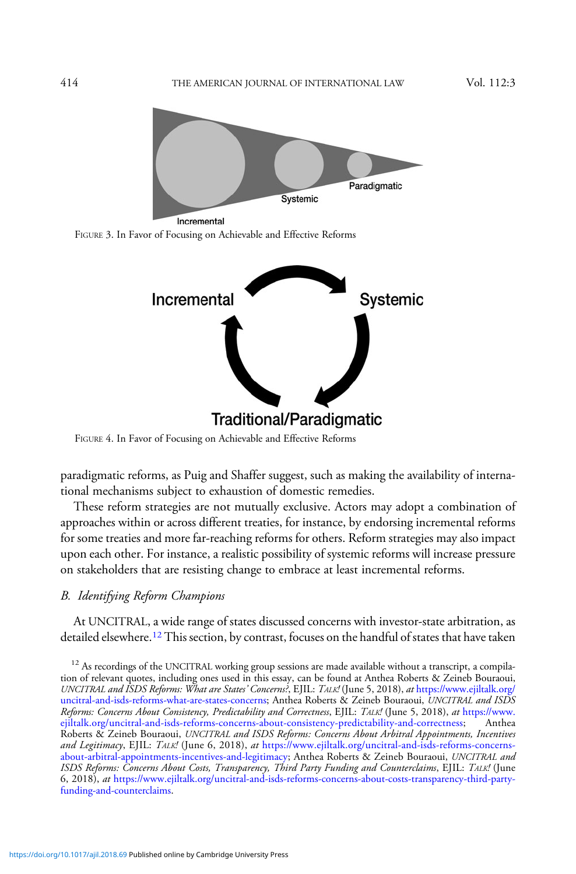<span id="page-4-0"></span>

FIGURE 3. In Favor of Focusing on Achievable and Effective Reforms



FIGURE 4. In Favor of Focusing on Achievable and Effective Reforms

paradigmatic reforms, as Puig and Shaffer suggest, such as making the availability of international mechanisms subject to exhaustion of domestic remedies.

These reform strategies are not mutually exclusive. Actors may adopt a combination of approaches within or across different treaties, for instance, by endorsing incremental reforms for some treaties and more far-reaching reforms for others. Reform strategies may also impact upon each other. For instance, a realistic possibility of systemic reforms will increase pressure on stakeholders that are resisting change to embrace at least incremental reforms.

#### B. Identifying Reform Champions

At UNCITRAL, a wide range of states discussed concerns with investor-state arbitration, as detailed elsewhere.<sup>12</sup> This section, by contrast, focuses on the handful of states that have taken

 $12$  As recordings of the UNCITRAL working group sessions are made available without a transcript, a compilation of relevant quotes, including ones used in this essay, can be found at Anthea Roberts & Zeineb Bouraoui, UNCITRAL and ISDS Reforms: What are States' Concerns?, EJIL: TALK! (June 5, 2018), at [https://www.ejiltalk.org/](https://www.ejiltalk.org/uncitral-and-isds-reforms-what-are-states-concerns) [uncitral-and-isds-reforms-what-are-states-concerns;](https://www.ejiltalk.org/uncitral-and-isds-reforms-what-are-states-concerns) Anthea Roberts & Zeineb Bouraoui, UNCITRAL and ISDS Reforms: Concerns About Consistency, Predictability and Correctness, EJIL: TALK! (June 5, 2018), at [https://www.](https://www.ejiltalk.org/uncitral-and-isds-reforms-concerns-about-consistency-predictability-and-correctness) [ejiltalk.org/uncitral-and-isds-reforms-concerns-about-consistency-predictability-and-correctness;](https://www.ejiltalk.org/uncitral-and-isds-reforms-concerns-about-consistency-predictability-and-correctness) Anthea Roberts & Zeineb Bouraoui, UNCITRAL and ISDS Reforms: Concerns About Arbitral Appointments, Incentives and Legitimacy, EJIL: TALK! (June 6, 2018), at [https://www.ejiltalk.org/uncitral-and-isds-reforms-concerns](https://www.ejiltalk.org/uncitral-and-isds-reforms-concerns-about-arbitral-appointments-incentives-and-legitimacy)[about-arbitral-appointments-incentives-and-legitimacy;](https://www.ejiltalk.org/uncitral-and-isds-reforms-concerns-about-arbitral-appointments-incentives-and-legitimacy) Anthea Roberts & Zeineb Bouraoui, UNCITRAL and ISDS Reforms: Concerns About Costs, Transparency, Third Party Funding and Counterclaims, EJIL: TALK! (June 6, 2018), at [https://www.ejiltalk.org/uncitral-and-isds-reforms-concerns-about-costs-transparency-third-party](https://www.ejiltalk.org/uncitral-and-isds-reforms-concerns-about-costs-transparency-third-party-funding-and-counterclaims)[funding-and-counterclaims](https://www.ejiltalk.org/uncitral-and-isds-reforms-concerns-about-costs-transparency-third-party-funding-and-counterclaims).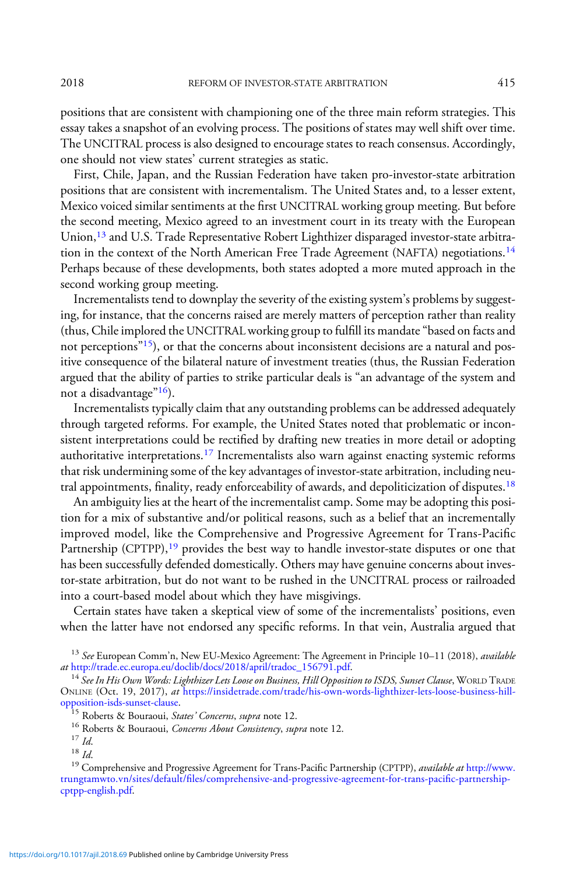positions that are consistent with championing one of the three main reform strategies. This essay takes a snapshot of an evolving process. The positions of states may well shift over time. The UNCITRAL process is also designed to encourage states to reach consensus. Accordingly, one should not view states' current strategies as static.

First, Chile, Japan, and the Russian Federation have taken pro-investor-state arbitration positions that are consistent with incrementalism. The United States and, to a lesser extent, Mexico voiced similar sentiments at the first UNCITRAL working group meeting. But before the second meeting, Mexico agreed to an investment court in its treaty with the European Union,<sup>13</sup> and U.S. Trade Representative Robert Lighthizer disparaged investor-state arbitration in the context of the North American Free Trade Agreement (NAFTA) negotiations.<sup>14</sup> Perhaps because of these developments, both states adopted a more muted approach in the second working group meeting.

Incrementalists tend to downplay the severity of the existing system's problems by suggesting, for instance, that the concerns raised are merely matters of perception rather than reality (thus, Chile implored the UNCITRAL working group to fulfill its mandate"based on facts and not perceptions<sup>"15</sup>), or that the concerns about inconsistent decisions are a natural and positive consequence of the bilateral nature of investment treaties (thus, the Russian Federation argued that the ability of parties to strike particular deals is "an advantage of the system and not a disadvantage"<sup>16</sup>).

Incrementalists typically claim that any outstanding problems can be addressed adequately through targeted reforms. For example, the United States noted that problematic or inconsistent interpretations could be rectified by drafting new treaties in more detail or adopting authoritative interpretations.<sup>17</sup> Incrementalists also warn against enacting systemic reforms that risk undermining some of the key advantages of investor-state arbitration, including neutral appointments, finality, ready enforceability of awards, and depoliticization of disputes.<sup>18</sup>

An ambiguity lies at the heart of the incrementalist camp. Some may be adopting this position for a mix of substantive and/or political reasons, such as a belief that an incrementally improved model, like the Comprehensive and Progressive Agreement for Trans-Pacific Partnership  $(CPTPP)$ ,<sup>19</sup> provides the best way to handle investor-state disputes or one that has been successfully defended domestically. Others may have genuine concerns about investor-state arbitration, but do not want to be rushed in the UNCITRAL process or railroaded into a court-based model about which they have misgivings.

Certain states have taken a skeptical view of some of the incrementalists' positions, even when the latter have not endorsed any specific reforms. In that vein, Australia argued that

<sup>15</sup> Roberts & Bouraoui, *States' Concerns, supra* note 12.<br><sup>16</sup> Roberts & Bouraoui, *Concerns About Consistency, supra* note 12.<br><sup>17</sup> Id.<br><sup>18</sup> Ld.<br><sup>19</sup> Comprehensive and Progressive Agreement for Trans-Pacific Partnership trungtamwto.vn/sites/default/fi[les/comprehensive-and-progressive-agreement-for-trans-paci](http://www.trungtamwto.vn/sites/default/files/comprehensive-and-progressive-agreement-for-trans-pacific-partnership-cptpp-english.pdf)fic-partnership[cptpp-english.pdf](http://www.trungtamwto.vn/sites/default/files/comprehensive-and-progressive-agreement-for-trans-pacific-partnership-cptpp-english.pdf).

<sup>&</sup>lt;sup>13</sup> See European Comm'n, New EU-Mexico Agreement: The Agreement in Principle 10–11 (2018), *available* at http://trade.ec.europa.eu/doclib/docs/2018/april/tradoc\_156791.pdf.

 $^{14}$  See In His Own Words: Lighthizer Lets Loose on Business, Hill Opposition to ISDS, Sunset Clause, WORLD TRADE ONLINE (Oct. 19, 2017), at https://insidetrade.com/trade/his-own-words-lighthizer-lets-loose-business-hill-opposition-isds-sunset-clause.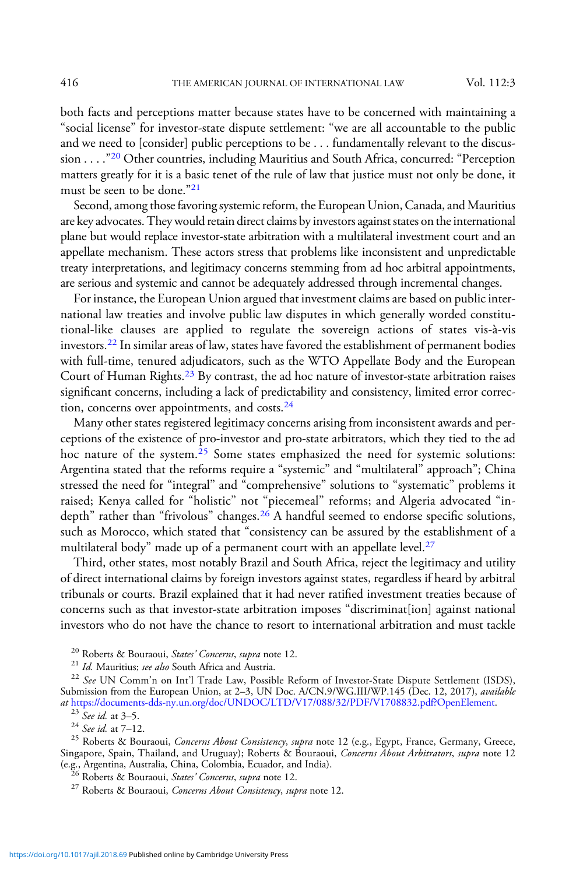both facts and perceptions matter because states have to be concerned with maintaining a "social license" for investor-state dispute settlement: "we are all accountable to the public and we need to [consider] public perceptions to be . . . fundamentally relevant to the discussion . . . . "<sup>20</sup> Other countries, including Mauritius and South Africa, concurred: "Perception matters greatly for it is a basic tenet of the rule of law that justice must not only be done, it must be seen to be done."<sup>21</sup>

Second, among those favoring systemic reform, the European Union, Canada, and Mauritius are key advocates. They would retain direct claims by investors against states on the international plane but would replace investor-state arbitration with a multilateral investment court and an appellate mechanism. These actors stress that problems like inconsistent and unpredictable treaty interpretations, and legitimacy concerns stemming from ad hoc arbitral appointments, are serious and systemic and cannot be adequately addressed through incremental changes.

For instance, the European Union argued that investment claims are based on public international law treaties and involve public law disputes in which generally worded constitutional-like clauses are applied to regulate the sovereign actions of states vis-à-vis investors.<sup>22</sup> In similar areas of law, states have favored the establishment of permanent bodies with full-time, tenured adjudicators, such as the WTO Appellate Body and the European Court of Human Rights.<sup>23</sup> By contrast, the ad hoc nature of investor-state arbitration raises significant concerns, including a lack of predictability and consistency, limited error correction, concerns over appointments, and costs.<sup>24</sup>

Many other states registered legitimacy concerns arising from inconsistent awards and perceptions of the existence of pro-investor and pro-state arbitrators, which they tied to the ad hoc nature of the system.<sup>25</sup> Some states emphasized the need for systemic solutions: Argentina stated that the reforms require a "systemic" and "multilateral" approach"; China stressed the need for "integral" and "comprehensive" solutions to "systematic" problems it raised; Kenya called for "holistic" not "piecemeal" reforms; and Algeria advocated "indepth" rather than "frivolous" changes.<sup>26</sup> A handful seemed to endorse specific solutions, such as Morocco, which stated that "consistency can be assured by the establishment of a multilateral body" made up of a permanent court with an appellate level.<sup>27</sup>

Third, other states, most notably Brazil and South Africa, reject the legitimacy and utility of direct international claims by foreign investors against states, regardless if heard by arbitral tribunals or courts. Brazil explained that it had never ratified investment treaties because of concerns such as that investor-state arbitration imposes "discriminat[ion] against national investors who do not have the chance to resort to international arbitration and must tackle

<sup>20</sup> Roberts & Bouraoui, *States' Concerns, supra* note 12.<br><sup>21</sup> Id. Mauritius; *see also* South Africa and Austria.<br><sup>22</sup> See UN Comm'n on Int'l Trade Law, Possible Reform of Investor-State Dispute Settlement (ISDS), Submission from the European Union, at 2–3, UN Doc. A/CN.9/WG.III/WP.145 (Dec. 12, 2017), *available* at https://documents-dds-ny.un.org/doc/UNDOC/LTD/V17/088/32/PDF/V1708832.pdf?OpenElement.

<sup>23</sup> See id. at 3–5.<br><sup>24</sup> See id. at 7–12.<br><sup>25</sup> Roberts & Bouraoui, *Concerns About Consistency, supra* note 12 (e.g., Egypt, France, Germany, Greece, Singapore, Spain, Thailand, and Uruguay); Roberts & Bouraoui, Concerns About Arbitrators, supra note 12 (e.g., Argentina, Australia, China, Colombia, Ecuador, and India).

<sup>&</sup>lt;sup>26</sup> Roberts & Bouraoui, States' Concerns, supra note 12.<br><sup>27</sup> Roberts & Bouraoui, Concerns About Consistency, supra note 12.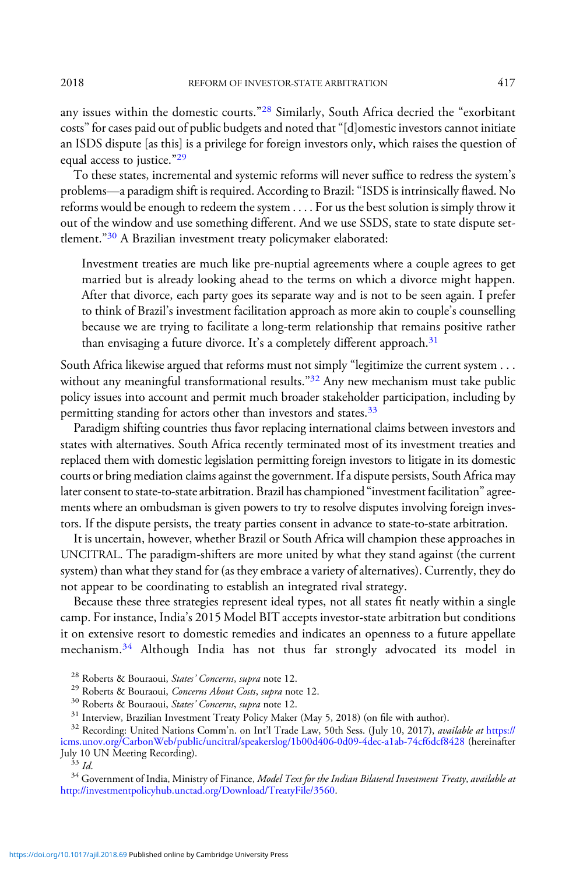any issues within the domestic courts."<sup>28</sup> Similarly, South Africa decried the "exorbitant costs" for cases paid out of public budgets and noted that "[d]omestic investors cannot initiate an ISDS dispute [as this] is a privilege for foreign investors only, which raises the question of equal access to justice."<sup>29</sup>

To these states, incremental and systemic reforms will never suffice to redress the system's problems—a paradigm shift is required. According to Brazil:"ISDS is intrinsically flawed. No reforms would be enough to redeem the system . . . . For us the best solution is simply throw it out of the window and use something different. And we use SSDS, state to state dispute settlement."<sup>30</sup> A Brazilian investment treaty policymaker elaborated:

Investment treaties are much like pre-nuptial agreements where a couple agrees to get married but is already looking ahead to the terms on which a divorce might happen. After that divorce, each party goes its separate way and is not to be seen again. I prefer to think of Brazil's investment facilitation approach as more akin to couple's counselling because we are trying to facilitate a long-term relationship that remains positive rather than envisaging a future divorce. It's a completely different approach.<sup>31</sup>

South Africa likewise argued that reforms must not simply "legitimize the current system . . . without any meaningful transformational results."<sup>32</sup> Any new mechanism must take public policy issues into account and permit much broader stakeholder participation, including by permitting standing for actors other than investors and states.<sup>33</sup>

Paradigm shifting countries thus favor replacing international claims between investors and states with alternatives. South Africa recently terminated most of its investment treaties and replaced them with domestic legislation permitting foreign investors to litigate in its domestic courts or bring mediation claims against the government. If a dispute persists, South Africa may later consent to state-to-state arbitration. Brazil has championed "investment facilitation"agreements where an ombudsman is given powers to try to resolve disputes involving foreign investors. If the dispute persists, the treaty parties consent in advance to state-to-state arbitration.

It is uncertain, however, whether Brazil or South Africa will champion these approaches in UNCITRAL. The paradigm-shifters are more united by what they stand against (the current system) than what they stand for (as they embrace a variety of alternatives). Currently, they do not appear to be coordinating to establish an integrated rival strategy.

Because these three strategies represent ideal types, not all states fit neatly within a single camp. For instance, India's 2015 Model BIT accepts investor-state arbitration but conditions it on extensive resort to domestic remedies and indicates an openness to a future appellate mechanism.<sup>34</sup> Although India has not thus far strongly advocated its model in

 $\frac{33}{14}$  Id.<br><sup>34</sup> Government of India, Ministry of Finance, *Model Text for the Indian Bilateral Investment Treaty, available at* [http://investmentpolicyhub.unctad.org/Download/TreatyFile/3560.](http://investmentpolicyhub.unctad.org/Download/TreatyFile/3560)

<sup>&</sup>lt;sup>28</sup> Roberts & Bouraoui, *States' Concerns, supra* note 12.<br><sup>29</sup> Roberts & Bouraoui, *Concerns About Costs, supra* note 12.<br><sup>30</sup> Roberts & Bouraoui, *States' Concerns, supra* note 12.<br><sup>31</sup> Interview, Brazilian Investment T [icms.unov.org/CarbonWeb/public/uncitral/speakerslog/1b00d406-0d09-4dec-a1ab-74cf6dcf8428](https://icms.unov.org/CarbonWeb/public/uncitral/speakerslog/1b00d406-0d09-4dec-a1ab-74cf6dcf8428) (hereinafter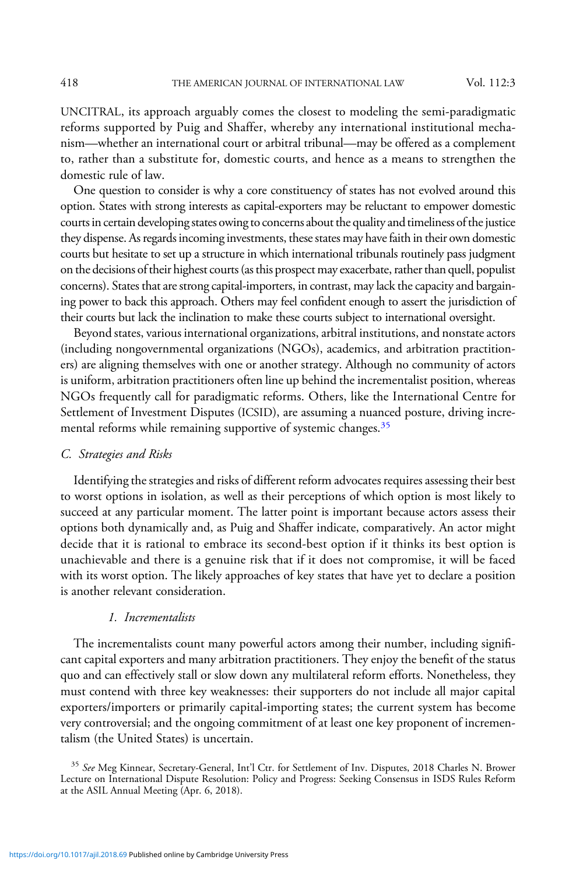UNCITRAL, its approach arguably comes the closest to modeling the semi-paradigmatic reforms supported by Puig and Shaffer, whereby any international institutional mechanism—whether an international court or arbitral tribunal—may be offered as a complement to, rather than a substitute for, domestic courts, and hence as a means to strengthen the domestic rule of law.

One question to consider is why a core constituency of states has not evolved around this option. States with strong interests as capital-exporters may be reluctant to empower domestic courts in certain developing states owing to concerns about the quality and timeliness of the justice they dispense. As regards incoming investments, these states may have faith in their own domestic courts but hesitate to set up a structure in which international tribunals routinely pass judgment on the decisions of their highest courts (as this prospect may exacerbate, rather than quell, populist concerns). States that are strong capital-importers, in contrast, may lack the capacity and bargaining power to back this approach. Others may feel confident enough to assert the jurisdiction of their courts but lack the inclination to make these courts subject to international oversight.

Beyond states, various international organizations, arbitral institutions, and nonstate actors (including nongovernmental organizations (NGOs), academics, and arbitration practitioners) are aligning themselves with one or another strategy. Although no community of actors is uniform, arbitration practitioners often line up behind the incrementalist position, whereas NGOs frequently call for paradigmatic reforms. Others, like the International Centre for Settlement of Investment Disputes (ICSID), are assuming a nuanced posture, driving incremental reforms while remaining supportive of systemic changes.<sup>35</sup>

#### C. Strategies and Risks

Identifying the strategies and risks of different reform advocates requires assessing their best to worst options in isolation, as well as their perceptions of which option is most likely to succeed at any particular moment. The latter point is important because actors assess their options both dynamically and, as Puig and Shaffer indicate, comparatively. An actor might decide that it is rational to embrace its second-best option if it thinks its best option is unachievable and there is a genuine risk that if it does not compromise, it will be faced with its worst option. The likely approaches of key states that have yet to declare a position is another relevant consideration.

## 1. Incrementalists

The incrementalists count many powerful actors among their number, including significant capital exporters and many arbitration practitioners. They enjoy the benefit of the status quo and can effectively stall or slow down any multilateral reform efforts. Nonetheless, they must contend with three key weaknesses: their supporters do not include all major capital exporters/importers or primarily capital-importing states; the current system has become very controversial; and the ongoing commitment of at least one key proponent of incrementalism (the United States) is uncertain.

<sup>&</sup>lt;sup>35</sup> See Meg Kinnear, Secretary-General, Int'l Ctr. for Settlement of Inv. Disputes, 2018 Charles N. Brower Lecture on International Dispute Resolution: Policy and Progress: Seeking Consensus in ISDS Rules Reform at the ASIL Annual Meeting (Apr. 6, 2018).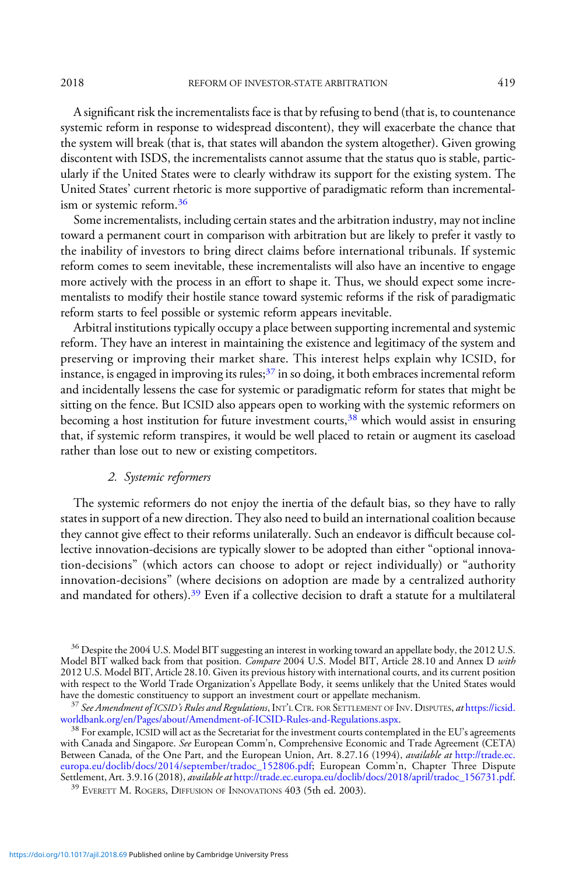A significant risk the incrementalists face is that by refusing to bend (that is, to countenance systemic reform in response to widespread discontent), they will exacerbate the chance that the system will break (that is, that states will abandon the system altogether). Given growing discontent with ISDS, the incrementalists cannot assume that the status quo is stable, particularly if the United States were to clearly withdraw its support for the existing system. The United States' current rhetoric is more supportive of paradigmatic reform than incrementalism or systemic reform.<sup>36</sup>

Some incrementalists, including certain states and the arbitration industry, may not incline toward a permanent court in comparison with arbitration but are likely to prefer it vastly to the inability of investors to bring direct claims before international tribunals. If systemic reform comes to seem inevitable, these incrementalists will also have an incentive to engage more actively with the process in an effort to shape it. Thus, we should expect some incrementalists to modify their hostile stance toward systemic reforms if the risk of paradigmatic reform starts to feel possible or systemic reform appears inevitable.

Arbitral institutions typically occupy a place between supporting incremental and systemic reform. They have an interest in maintaining the existence and legitimacy of the system and preserving or improving their market share. This interest helps explain why ICSID, for instance, is engaged in improving its rules;<sup>37</sup> in so doing, it both embraces incremental reform and incidentally lessens the case for systemic or paradigmatic reform for states that might be sitting on the fence. But ICSID also appears open to working with the systemic reformers on becoming a host institution for future investment courts,  $38$  which would assist in ensuring that, if systemic reform transpires, it would be well placed to retain or augment its caseload rather than lose out to new or existing competitors.

#### 2. Systemic reformers

The systemic reformers do not enjoy the inertia of the default bias, so they have to rally states in support of a new direction. They also need to build an international coalition because they cannot give effect to their reforms unilaterally. Such an endeavor is difficult because collective innovation-decisions are typically slower to be adopted than either "optional innovation-decisions" (which actors can choose to adopt or reject individually) or "authority innovation-decisions" (where decisions on adoption are made by a centralized authority and mandated for others).<sup>39</sup> Even if a collective decision to draft a statute for a multilateral

 $^{36}$  Despite the 2004 U.S. Model BIT suggesting an interest in working toward an appellate body, the 2012 U.S. Model BIT walked back from that position. *Compare* 2004 U.S. Model BIT, Article 28.10 and Annex D with 2012 U.S. Model BIT, Article 28.10. Given its previous history with international courts, and its current position with respect to the World Trade Organization's Appellate Body, it seems unlikely that the United States would<br>have the domestic constituency to support an investment court or appellate mechanism.

<sup>37</sup> See Amendment of ICSID's Rules and Regulations, INT'L CTR. FOR SETTLEMENT OF INV. DISPUTES, at [https://icsid.](https://icsid.worldbank.org/en/Pages/about/Amendment-of-ICSID-Rules-and-Regulations.aspx)<br>worldbank.org/en/Pages/about/Amendment-of-ICSID-Rules-and-Regulations.aspx.

 $38$  For example, ICSID will act as the Secretariat for the investment courts contemplated in the EU's agreements with Canada and Singapore. See European Comm'n, Comprehensive Economic and Trade Agreement (CETA) Between Canada, of the One Part, and the European Union, Art. 8.27.16 (1994), available at [http://trade.ec.](http://trade.ec.europa.eu/doclib/docs/2014/september/tradoc_152806.pdf) [europa.eu/doclib/docs/2014/september/tradoc\\_152806.pdf](http://trade.ec.europa.eu/doclib/docs/2014/september/tradoc_152806.pdf); European Comm'n, Chapter Three Dispute Settlement, Art. 3.9.16 (2018), *available at* [http://trade.ec.europa.eu/doclib/docs/2018/april/tradoc\\_156731.pdf.](http://trade.ec.europa.eu/doclib/docs/2018/april/tradoc_156731.pdf) <sup>39</sup> EVERETT M. ROGERS, DIFFUSION OF INNOVATIONS 403 (5th ed. 2003).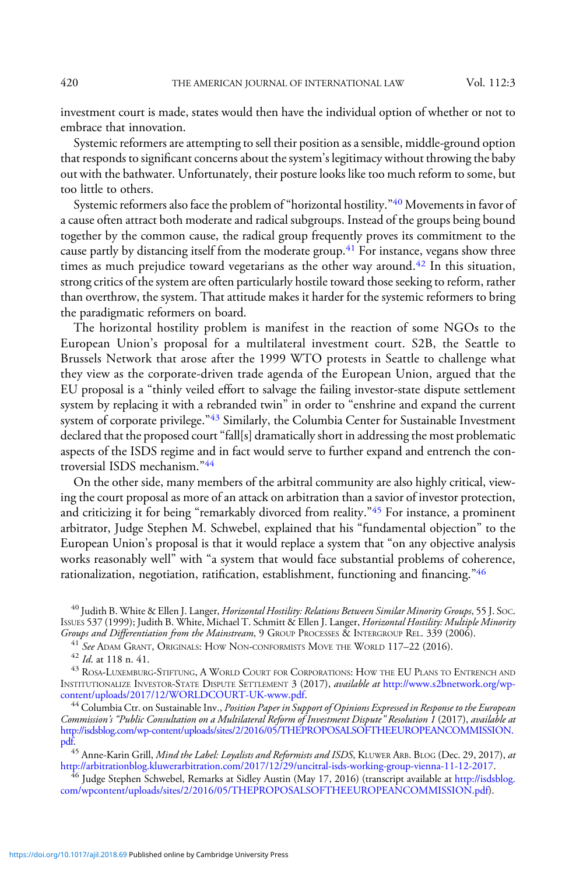investment court is made, states would then have the individual option of whether or not to embrace that innovation.

Systemic reformers are attempting to sell their position as a sensible, middle-ground option that responds to significant concerns about the system's legitimacy without throwing the baby out with the bathwater. Unfortunately, their posture looks like too much reform to some, but too little to others.

Systemic reformers also face the problem of "horizontal hostility."<sup>40</sup> Movements in favor of a cause often attract both moderate and radical subgroups. Instead of the groups being bound together by the common cause, the radical group frequently proves its commitment to the cause partly by distancing itself from the moderate group.<sup>41</sup> For instance, vegans show three times as much prejudice toward vegetarians as the other way around.<sup>42</sup> In this situation, strong critics of the system are often particularly hostile toward those seeking to reform, rather than overthrow, the system. That attitude makes it harder for the systemic reformers to bring the paradigmatic reformers on board.

The horizontal hostility problem is manifest in the reaction of some NGOs to the European Union's proposal for a multilateral investment court. S2B, the Seattle to Brussels Network that arose after the 1999 WTO protests in Seattle to challenge what they view as the corporate-driven trade agenda of the European Union, argued that the EU proposal is a "thinly veiled effort to salvage the failing investor-state dispute settlement system by replacing it with a rebranded twin" in order to "enshrine and expand the current system of corporate privilege."<sup>43</sup> Similarly, the Columbia Center for Sustainable Investment declared that the proposed court "fall[s] dramatically short in addressing the most problematic aspects of the ISDS regime and in fact would serve to further expand and entrench the controversial ISDS mechanism."<sup>44</sup>

On the other side, many members of the arbitral community are also highly critical, viewing the court proposal as more of an attack on arbitration than a savior of investor protection, and criticizing it for being "remarkably divorced from reality."<sup>45</sup> For instance, a prominent arbitrator, Judge Stephen M. Schwebel, explained that his "fundamental objection" to the European Union's proposal is that it would replace a system that "on any objective analysis works reasonably well" with "a system that would face substantial problems of coherence, rationalization, negotiation, ratification, establishment, functioning and financing."46

 $^{40}$  Judith B. White & Ellen J. Langer, *Horizontal Hostility: Relations Between Similar Minority Groups*, 55 J. Soc. Issues 537 (1999); Judith B. White, Michael T. Schmitt & Ellen J. Langer, Horizontal Hostility: Multiple Minority<br>Groups and Differentiation from the Mainstream, 9 GROUP PROCESSES & INTERGROUP REL. 339 (2006).

 $^{41}$  See Adam Grant, Originals: How Non-conformists Move the World 117–22 (2016).  $^{42}$  Id. at 118 n. 41.

<sup>43</sup> ROSA-LUXEMBURG-STIFTUNG,AWORLD COURT FOR CORPORATIONS: HOW THE EU PLANS TO ENTRENCH AND INSTITUTIONALIZE INVESTOR-STATE DISPUTE SETTLEMENT 3 (2017), *available at* http://www.s2bnetwork.org/wp-content/uploads/2017/12/WORLDCOURT-UK-www.pdf.

 $^{44}$  Columbia Ctr. on Sustainable Inv., *Position Paper in Support of Opinions Expressed in Response to the European* Commission's "Public Consultation on a Multilateral Reform of Investment Dispute" Resolution 1 (2017), available at [http://isdsblog.com/wp-content/uploads/sites/2/2016/05/THEPROPOSALSOFTHEEUROPEANCOMMISSION.](http://isdsblog.com/wp-content/uploads/sites/2/2016/05/THEPROPOSALSOFTHEEUROPEANCOMMISSION.pdf) [pdf.](http://isdsblog.com/wp-content/uploads/sites/2/2016/05/THEPROPOSALSOFTHEEUROPEANCOMMISSION.pdf)

 $^{45}$  Anne-Karin Grill, *Mind the Label: Loyalists and Reformists and ISDS*, KLUWER ARB. BLOG (Dec. 29, 2017), *at* <http://arbitrationblog.kluwerarbitration.com/2017/12/29/uncitral-isds-working-group-vienna-11-12-2017>. <sup>46</sup> Judge Stephen Schwebel, Remarks at Sidley Austin (May 17, 2016) (transcript available at [http://isdsblog.](http://isdsblog.com/wpcontent/uploads/sites/2/2016/05/THEPROPOSALSOFTHEEUROPEANCOMMISSION.pdf)

[com/wpcontent/uploads/sites/2/2016/05/THEPROPOSALSOFTHEEUROPEANCOMMISSION.pdf](http://isdsblog.com/wpcontent/uploads/sites/2/2016/05/THEPROPOSALSOFTHEEUROPEANCOMMISSION.pdf)).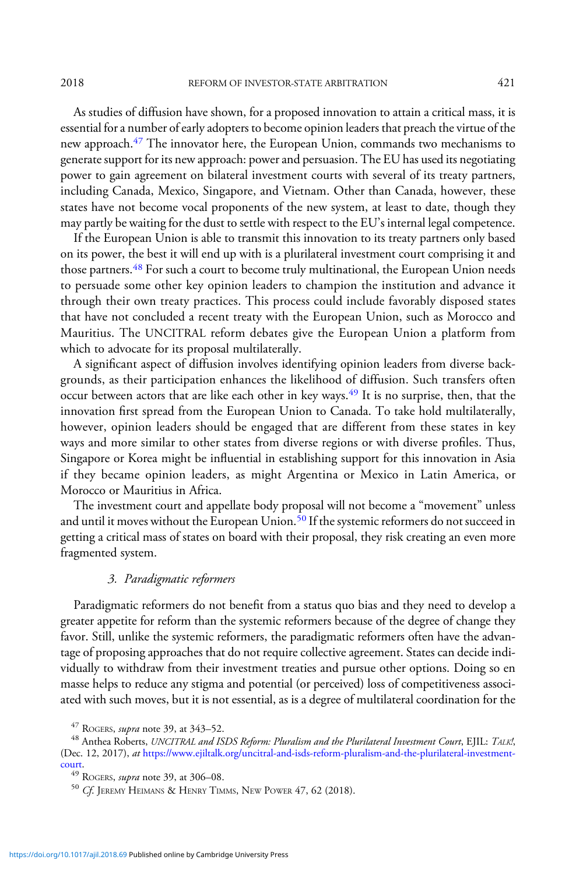2018 REFORM OF INVESTOR-STATE ARBITRATION 421

As studies of diffusion have shown, for a proposed innovation to attain a critical mass, it is essential for a number of early adopters to become opinion leaders that preach the virtue of the new approach.<sup>47</sup> The innovator here, the European Union, commands two mechanisms to generate support for its new approach: power and persuasion. The EU has used its negotiating power to gain agreement on bilateral investment courts with several of its treaty partners, including Canada, Mexico, Singapore, and Vietnam. Other than Canada, however, these states have not become vocal proponents of the new system, at least to date, though they may partly be waiting for the dust to settle with respect to the EU's internal legal competence.

If the European Union is able to transmit this innovation to its treaty partners only based on its power, the best it will end up with is a plurilateral investment court comprising it and those partners.<sup>48</sup> For such a court to become truly multinational, the European Union needs to persuade some other key opinion leaders to champion the institution and advance it through their own treaty practices. This process could include favorably disposed states that have not concluded a recent treaty with the European Union, such as Morocco and Mauritius. The UNCITRAL reform debates give the European Union a platform from which to advocate for its proposal multilaterally.

A significant aspect of diffusion involves identifying opinion leaders from diverse backgrounds, as their participation enhances the likelihood of diffusion. Such transfers often occur between actors that are like each other in key ways.<sup>49</sup> It is no surprise, then, that the innovation first spread from the European Union to Canada. To take hold multilaterally, however, opinion leaders should be engaged that are different from these states in key ways and more similar to other states from diverse regions or with diverse profiles. Thus, Singapore or Korea might be influential in establishing support for this innovation in Asia if they became opinion leaders, as might Argentina or Mexico in Latin America, or Morocco or Mauritius in Africa.

The investment court and appellate body proposal will not become a "movement" unless and until it moves without the European Union.<sup>50</sup> If the systemic reformers do not succeed in getting a critical mass of states on board with their proposal, they risk creating an even more fragmented system.

## 3. Paradigmatic reformers

Paradigmatic reformers do not benefit from a status quo bias and they need to develop a greater appetite for reform than the systemic reformers because of the degree of change they favor. Still, unlike the systemic reformers, the paradigmatic reformers often have the advantage of proposing approaches that do not require collective agreement. States can decide individually to withdraw from their investment treaties and pursue other options. Doing so en masse helps to reduce any stigma and potential (or perceived) loss of competitiveness associated with such moves, but it is not essential, as is a degree of multilateral coordination for the

<sup>&</sup>lt;sup>47</sup> ROGERS, *supra* note 39, at 343–52.<br><sup>48</sup> Anthea Roberts, *UNCITRAL and ISDS Reform: Pluralism and the Plurilateral Investment Court, EJIL: TALK!*, (Dec. 12, 2017), at [https://www.ejiltalk.org/uncitral-and-isds-reform-pluralism-and-the-plurilateral-investment](https://www.ejiltalk.org/uncitral-and-isds-reform-pluralism-and-the-plurilateral-investment-court)[court](https://www.ejiltalk.org/uncitral-and-isds-reform-pluralism-and-the-plurilateral-investment-court).<br><sup>49</sup> Rogers, *supra* note 39, at 306–08.<br><sup>50</sup> Cf. Jeremy Heimans & Henry Timms, New Power 47, 62 (2018).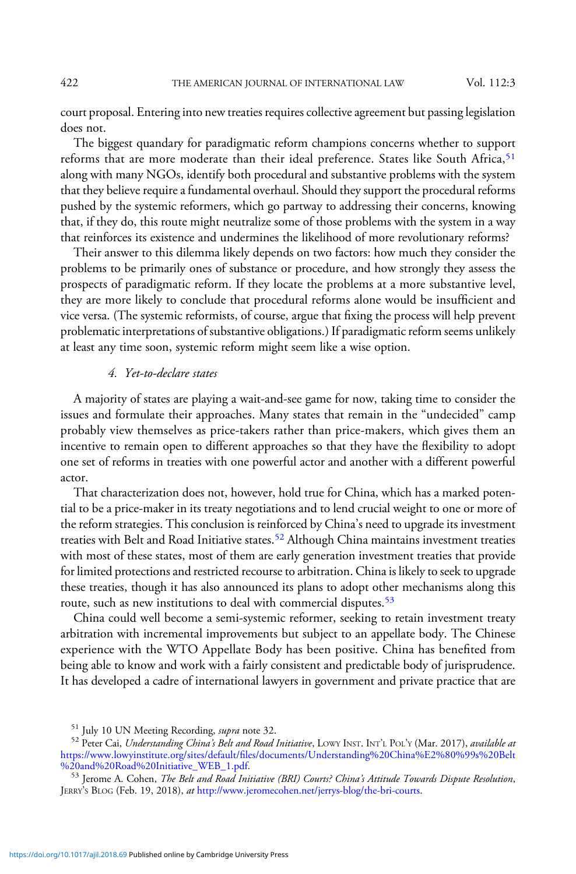court proposal. Entering into new treaties requires collective agreement but passing legislation does not.

The biggest quandary for paradigmatic reform champions concerns whether to support reforms that are more moderate than their ideal preference. States like South Africa,<sup>51</sup> along with many NGOs, identify both procedural and substantive problems with the system that they believe require a fundamental overhaul. Should they support the procedural reforms pushed by the systemic reformers, which go partway to addressing their concerns, knowing that, if they do, this route might neutralize some of those problems with the system in a way that reinforces its existence and undermines the likelihood of more revolutionary reforms?

Their answer to this dilemma likely depends on two factors: how much they consider the problems to be primarily ones of substance or procedure, and how strongly they assess the prospects of paradigmatic reform. If they locate the problems at a more substantive level, they are more likely to conclude that procedural reforms alone would be insufficient and vice versa. (The systemic reformists, of course, argue that fixing the process will help prevent problematic interpretations of substantive obligations.) If paradigmatic reform seems unlikely at least any time soon, systemic reform might seem like a wise option.

#### 4. Yet-to-declare states

A majority of states are playing a wait-and-see game for now, taking time to consider the issues and formulate their approaches. Many states that remain in the "undecided" camp probably view themselves as price-takers rather than price-makers, which gives them an incentive to remain open to different approaches so that they have the flexibility to adopt one set of reforms in treaties with one powerful actor and another with a different powerful actor.

That characterization does not, however, hold true for China, which has a marked potential to be a price-maker in its treaty negotiations and to lend crucial weight to one or more of the reform strategies. This conclusion is reinforced by China's need to upgrade its investment treaties with Belt and Road Initiative states.<sup>52</sup> Although China maintains investment treaties with most of these states, most of them are early generation investment treaties that provide for limited protections and restricted recourse to arbitration. China is likely to seek to upgrade these treaties, though it has also announced its plans to adopt other mechanisms along this route, such as new institutions to deal with commercial disputes.<sup>53</sup>

China could well become a semi-systemic reformer, seeking to retain investment treaty arbitration with incremental improvements but subject to an appellate body. The Chinese experience with the WTO Appellate Body has been positive. China has benefited from being able to know and work with a fairly consistent and predictable body of jurisprudence. It has developed a cadre of international lawyers in government and private practice that are

<sup>&</sup>lt;sup>51</sup> July 10 UN Meeting Recording, *supra* note 32.<br><sup>52</sup> Peter Cai, *Understanding China's Belt and Road Initiative*, LOWY INST. INT'L POL'Y (Mar. 2017), *available at* [https:/](https://www.lowyinstitute.org/sites/default/files/documents/Understanding%20China%E2%80%99s%20Belt%20and%20Road%20Initiative_WEB_1.pdf)/www.lowyinstitute.org/sites/default/fi[les/documents/Understanding%20China%E2%80%99s%20Belt](https://www.lowyinstitute.org/sites/default/files/documents/Understanding%20China%E2%80%99s%20Belt%20and%20Road%20Initiative_WEB_1.pdf)

 $53$  Jerome A. Cohen, The Belt and Road Initiative (BRI) Courts? China's Attitude Towards Dispute Resolution, JERRY's BLOG (Feb. 19, 2018), at <http://www.jeromecohen.net/jerrys-blog/the-bri-courts>.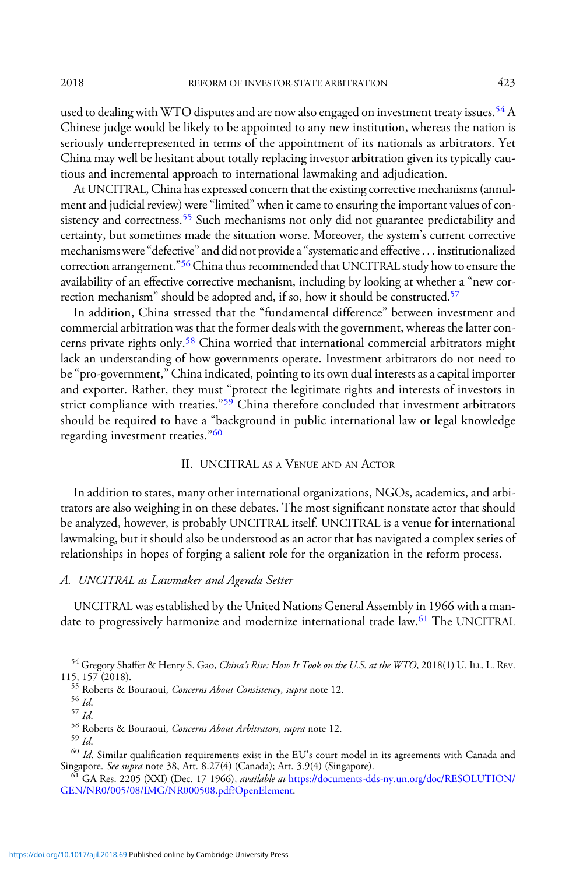used to dealing with WTO disputes and are now also engaged on investment treaty issues.<sup>54</sup> A Chinese judge would be likely to be appointed to any new institution, whereas the nation is seriously underrepresented in terms of the appointment of its nationals as arbitrators. Yet China may well be hesitant about totally replacing investor arbitration given its typically cautious and incremental approach to international lawmaking and adjudication.

At UNCITRAL, China has expressed concern that the existing corrective mechanisms (annulment and judicial review) were"limited" when it came to ensuring the important values of consistency and correctness.<sup>55</sup> Such mechanisms not only did not guarantee predictability and certainty, but sometimes made the situation worse. Moreover, the system's current corrective mechanisms were"defective"and did not provide a"systematic and effective . . . institutionalized correction arrangement."<sup>56</sup> China thus recommended that UNCITRAL study how to ensure the availability of an effective corrective mechanism, including by looking at whether a "new correction mechanism" should be adopted and, if so, how it should be constructed.<sup>57</sup>

In addition, China stressed that the "fundamental difference" between investment and commercial arbitration was that the former deals with the government, whereas the latter concerns private rights only.<sup>58</sup> China worried that international commercial arbitrators might lack an understanding of how governments operate. Investment arbitrators do not need to be"pro-government," China indicated, pointing to its own dual interests as a capital importer and exporter. Rather, they must "protect the legitimate rights and interests of investors in strict compliance with treaties."<sup>59</sup> China therefore concluded that investment arbitrators should be required to have a "background in public international law or legal knowledge regarding investment treaties."<sup>60</sup>

## II. UNCITRAL AS A VENUE AND AN ACTOR

In addition to states, many other international organizations, NGOs, academics, and arbitrators are also weighing in on these debates. The most significant nonstate actor that should be analyzed, however, is probably UNCITRAL itself. UNCITRAL is a venue for international lawmaking, but it should also be understood as an actor that has navigated a complex series of relationships in hopes of forging a salient role for the organization in the reform process.

## A. UNCITRAL as Lawmaker and Agenda Setter

UNCITRAL was established by the United Nations General Assembly in 1966 with a mandate to progressively harmonize and modernize international trade law.<sup>61</sup> The UNCITRAL

<sup>57</sup> Id.<br><sup>58</sup> Roberts & Bouraoui, *Concerns About Arbitrators, supra* note 12.<br><sup>59</sup> Id. Similar qualification requirements exist in the EU's court model in its agreements with Canada and<br>Singapore. *See supra* note 38, Ar

 $^{54}$  Gregory Shaffer & Henry S. Gao, *China's Rise: How It Took on the U.S. at the WTO*, 2018(1) U. ILL. L. REV. 115, 157 (2018).

 $^{55}$  Roberts & Bouraoui, *Concerns About Consistency, supra* note 12.  $^{56}$   $\emph{Id}$ 

<sup>&</sup>lt;sup>61</sup> GA Res. 2205 (XXI) (Dec. 17 1966), *available at* [https://documents-dds-ny.un.org/doc/RESOLUTION/](https://documents-dds-ny.un.org/doc/RESOLUTION/GEN/NR0/005/08/IMG/NR000508.pdf?OpenElement) [GEN/NR0/005/08/IMG/NR000508.pdf?OpenElement](https://documents-dds-ny.un.org/doc/RESOLUTION/GEN/NR0/005/08/IMG/NR000508.pdf?OpenElement).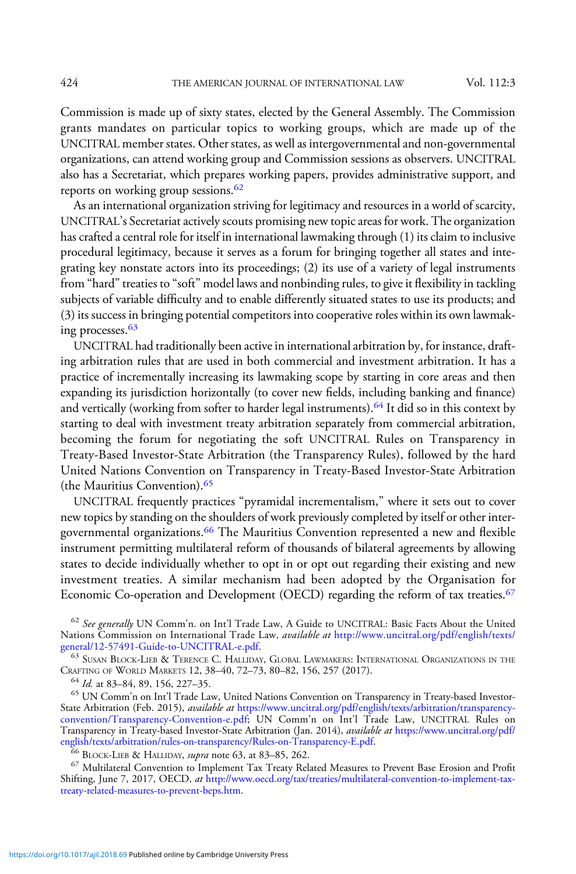Commission is made up of sixty states, elected by the General Assembly. The Commission grants mandates on particular topics to working groups, which are made up of the UNCITRAL member states. Other states, as well as intergovernmental and non-governmental organizations, can attend working group and Commission sessions as observers. UNCITRAL also has a Secretariat, which prepares working papers, provides administrative support, and reports on working group sessions. $62$ 

As an international organization striving for legitimacy and resources in a world of scarcity, UNCITRAL's Secretariat actively scouts promising new topic areas for work. The organization has crafted a central role for itself in international lawmaking through (1) its claim to inclusive procedural legitimacy, because it serves as a forum for bringing together all states and integrating key nonstate actors into its proceedings; (2) its use of a variety of legal instruments from "hard" treaties to "soft" model laws and nonbinding rules, to give it flexibility in tackling subjects of variable difficulty and to enable differently situated states to use its products; and (3) its success in bringing potential competitors into cooperative roles within its own lawmaking processes.<sup>63</sup>

UNCITRAL had traditionally been active in international arbitration by, for instance, drafting arbitration rules that are used in both commercial and investment arbitration. It has a practice of incrementally increasing its lawmaking scope by starting in core areas and then expanding its jurisdiction horizontally (to cover new fields, including banking and finance) and vertically (working from softer to harder legal instruments).<sup>64</sup> It did so in this context by starting to deal with investment treaty arbitration separately from commercial arbitration, becoming the forum for negotiating the soft UNCITRAL Rules on Transparency in Treaty-Based Investor-State Arbitration (the Transparency Rules), followed by the hard United Nations Convention on Transparency in Treaty-Based Investor-State Arbitration (the Mauritius Convention).<sup>65</sup>

UNCITRAL frequently practices "pyramidal incrementalism," where it sets out to cover new topics by standing on the shoulders of work previously completed by itself or other intergovernmental organizations.<sup>66</sup> The Mauritius Convention represented a new and flexible instrument permitting multilateral reform of thousands of bilateral agreements by allowing states to decide individually whether to opt in or opt out regarding their existing and new investment treaties. A similar mechanism had been adopted by the Organisation for Economic Co-operation and Development (OECD) regarding the reform of tax treaties.<sup>67</sup>

<sup>62</sup> See generally UN Comm'n. on Int'l Trade Law, A Guide to UNCITRAL: Basic Facts About the United Nations Commission on International Trade Law, *available at* [http://www.uncitral.org/pdf/english/texts/](http://www.uncitral.org/pdf/english/texts/general/12-57491-Guide-to-UNCITRAL-e.pdf)<br>general/12-57491-Guide-to-UNCITRAL-e.pdf.

 $^{63}$  Susan Block-Lieb & Terence C. Halliday, Global Lawmakers: International Organizations in the CRAFTING OF WORLD MARKETS 12, 38–40, 72–73, 80–82, 156, 257 (2017). <sup>64</sup> Id. at 83–84, 89, 156, 227–35.

<sup>65</sup> UN Comm'n on Int'l Trade Law, United Nations Convention on Transparency in Treaty-based Investor-State Arbitration (Feb. 2015), available at [https://www.uncitral.org/pdf/english/texts/arbitration/transparency](https://www.uncitral.org/pdf/english/texts/arbitration/transparency-convention/Transparency-Convention-e.pdf)[convention/Transparency-Convention-e.pdf;](https://www.uncitral.org/pdf/english/texts/arbitration/transparency-convention/Transparency-Convention-e.pdf) UN Comm'n on Int'l Trade Law, UNCITRAL Rules on Transparency in Treaty-based Investor-State Arbitration (Jan. 2014), available at [https://www.uncitral.org/pdf/](https://www.uncitral.org/pdf/english/texts/arbitration/rules-on-transparency/Rules-on-Transparency-E.pdf) [english/texts/arbitration/rules-on-transparency/Rules-on-Transparency-E.pdf.](https://www.uncitral.org/pdf/english/texts/arbitration/rules-on-transparency/Rules-on-Transparency-E.pdf) <sup>66</sup> BLOCK-LIEB & HALLIDAY, *supra* note 63, at 83–85, 262.

<sup>67</sup> Multilateral Convention to Implement Tax Treaty Related Measures to Prevent Base Erosion and Profit Shifting, June 7, 2017, OECD, at [http://www.oecd.org/tax/treaties/multilateral-convention-to-implement-tax](http://www.oecd.org/tax/treaties/multilateral-convention-to-implement-tax-treaty-related-measures-to-prevent-beps.htm)[treaty-related-measures-to-prevent-beps.htm](http://www.oecd.org/tax/treaties/multilateral-convention-to-implement-tax-treaty-related-measures-to-prevent-beps.htm).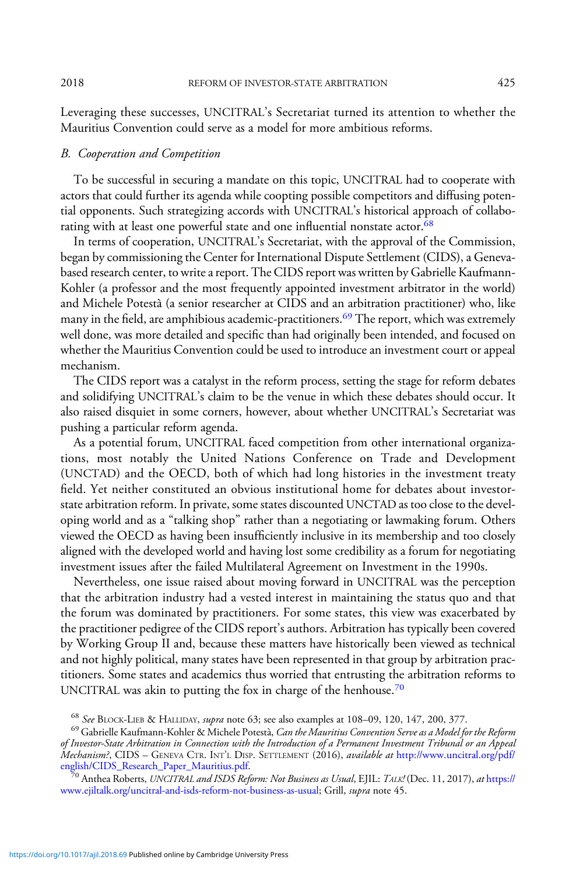Leveraging these successes, UNCITRAL's Secretariat turned its attention to whether the Mauritius Convention could serve as a model for more ambitious reforms.

#### B. Cooperation and Competition

To be successful in securing a mandate on this topic, UNCITRAL had to cooperate with actors that could further its agenda while coopting possible competitors and diffusing potential opponents. Such strategizing accords with UNCITRAL's historical approach of collaborating with at least one powerful state and one influential nonstate actor.<sup>68</sup>

In terms of cooperation, UNCITRAL's Secretariat, with the approval of the Commission, began by commissioning the Center for International Dispute Settlement (CIDS), a Genevabased research center, to write a report. The CIDS report was written by Gabrielle Kaufmann-Kohler (a professor and the most frequently appointed investment arbitrator in the world) and Michele Potestà(a senior researcher at CIDS and an arbitration practitioner) who, like many in the field, are amphibious academic-practitioners.<sup>69</sup> The report, which was extremely well done, was more detailed and specific than had originally been intended, and focused on whether the Mauritius Convention could be used to introduce an investment court or appeal mechanism.

The CIDS report was a catalyst in the reform process, setting the stage for reform debates and solidifying UNCITRAL's claim to be the venue in which these debates should occur. It also raised disquiet in some corners, however, about whether UNCITRAL's Secretariat was pushing a particular reform agenda.

As a potential forum, UNCITRAL faced competition from other international organizations, most notably the United Nations Conference on Trade and Development (UNCTAD) and the OECD, both of which had long histories in the investment treaty field. Yet neither constituted an obvious institutional home for debates about investorstate arbitration reform. In private, some states discounted UNCTAD as too close to the developing world and as a "talking shop" rather than a negotiating or lawmaking forum. Others viewed the OECD as having been insufficiently inclusive in its membership and too closely aligned with the developed world and having lost some credibility as a forum for negotiating investment issues after the failed Multilateral Agreement on Investment in the 1990s.

Nevertheless, one issue raised about moving forward in UNCITRAL was the perception that the arbitration industry had a vested interest in maintaining the status quo and that the forum was dominated by practitioners. For some states, this view was exacerbated by the practitioner pedigree of the CIDS report's authors. Arbitration has typically been covered by Working Group II and, because these matters have historically been viewed as technical and not highly political, many states have been represented in that group by arbitration practitioners. Some states and academics thus worried that entrusting the arbitration reforms to UNCITRAL was akin to putting the fox in charge of the henhouse.<sup>70</sup>

<sup>&</sup>lt;sup>68</sup> See BLOCK-LIEB & HALLIDAY, supra note 63; see also examples at 108–09, 120, 147, 200, 377.<br><sup>69</sup> Gabrielle Kaufmann-Kohler & Michele Potestà, *Can the Mauritius Convention Serve as a Model for the Reform* of Investor-State Arbitration in Connection with the Introduction of a Permanent Investment Tribunal or an Appeal Mechanism?, CIDS – GENEVA CTR. INT'L DISP. SETTLEMENT (2016), available at [http://www.uncitral.org/pdf/](http://www.uncitral.org/pdf/english/CIDS_Research_Paper_Mauritius.pdf)<br>english/CIDS\_Research\_Paper\_Mauritius.pdf.

 $^{\tilde{7}0}$  Anthea Roberts, *UNCITRAL and ISDS Reform: Not Business as Usual*, EJIL: *TALK!* (Dec. 11, 2017), *at* [https://](https://www.ejiltalk.org/uncitral-and-isds-reform-not-business-as-usual) [www.ejiltalk.org/uncitral-and-isds-reform-not-business-as-usual](https://www.ejiltalk.org/uncitral-and-isds-reform-not-business-as-usual); Grill, supra note 45.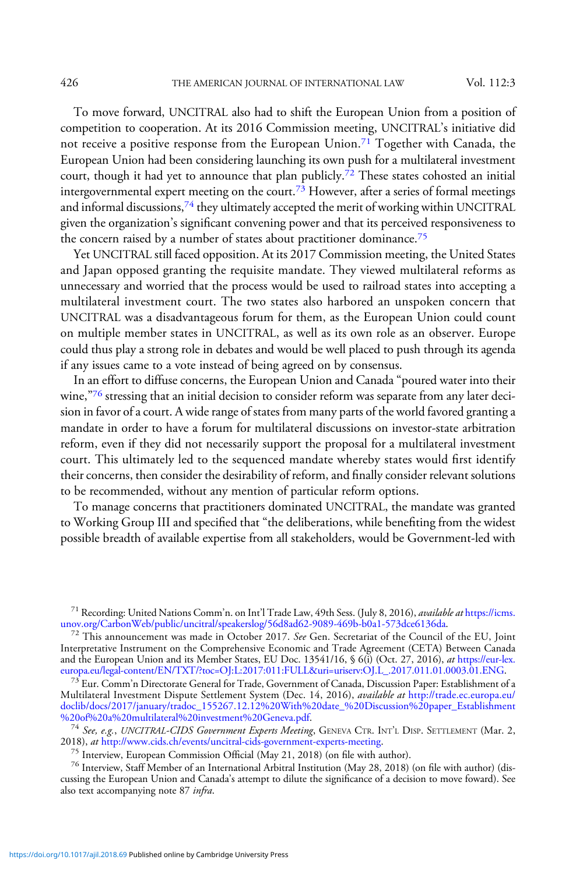To move forward, UNCITRAL also had to shift the European Union from a position of competition to cooperation. At its 2016 Commission meeting, UNCITRAL's initiative did not receive a positive response from the European Union.<sup>71</sup> Together with Canada, the European Union had been considering launching its own push for a multilateral investment court, though it had yet to announce that plan publicly.<sup>72</sup> These states cohosted an initial intergovernmental expert meeting on the court.<sup>73</sup> However, after a series of formal meetings and informal discussions,<sup>74</sup> they ultimately accepted the merit of working within UNCITRAL given the organization's significant convening power and that its perceived responsiveness to the concern raised by a number of states about practitioner dominance.<sup>75</sup>

Yet UNCITRAL still faced opposition. At its 2017 Commission meeting, the United States and Japan opposed granting the requisite mandate. They viewed multilateral reforms as unnecessary and worried that the process would be used to railroad states into accepting a multilateral investment court. The two states also harbored an unspoken concern that UNCITRAL was a disadvantageous forum for them, as the European Union could count on multiple member states in UNCITRAL, as well as its own role as an observer. Europe could thus play a strong role in debates and would be well placed to push through its agenda if any issues came to a vote instead of being agreed on by consensus.

In an effort to diffuse concerns, the European Union and Canada "poured water into their wine,"<sup>76</sup> stressing that an initial decision to consider reform was separate from any later decision in favor of a court. A wide range of states from many parts of the world favored granting a mandate in order to have a forum for multilateral discussions on investor-state arbitration reform, even if they did not necessarily support the proposal for a multilateral investment court. This ultimately led to the sequenced mandate whereby states would first identify their concerns, then consider the desirability of reform, and finally consider relevant solutions to be recommended, without any mention of particular reform options.

To manage concerns that practitioners dominated UNCITRAL, the mandate was granted to Working Group III and specified that "the deliberations, while benefiting from the widest possible breadth of available expertise from all stakeholders, would be Government-led with

 $^{71}$  Recording: United Nations Comm'n. on Int'l Trade Law, 49th Sess. (July 8, 2016), *available at* [https://icms.](https://icms.unov.org/CarbonWeb/public/uncitral/speakerslog/56d8ad62-9089-469b-b0a1-573dce6136da) unov.org/CarbonWeb/public/uncitral/speakerslog/56d8ad62-9089-469b-b0a1-573dce6136da.

 $72$  This announcement was made in October 2017. See Gen. Secretariat of the Council of the EU, Joint Interpretative Instrument on the Comprehensive Economic and Trade Agreement (CETA) Between Canada and the European Union and its Member States, EU Doc. 13541/16, § 6(i) (Oct. 27, 2016), at [https://eur-lex.](https://eur-lex.europa.eu/legal-content/EN/TXT/?toc=OJ:L:2017:011:FULL&uri=uriserv:OJ.L_.2017.011.01.0003.01.ENG)<br>europa.eu/legal-content/EN/TXT/?toc=OJ:L:2017:011:FULL&uri=uriserv:OJ.L\_.2017.011.01.0003.01.ENG.

 $^{73}$ Eur. Comm'n Directorate General for Trade, Government of Canada, Discussion Paper: Establishment of a Multilateral Investment Dispute Settlement System (Dec. 14, 2016), available at [http://trade.ec.europa.eu/](http://trade.ec.europa.eu/doclib/docs/2017/january/tradoc_155267.12.12%20With%20date_%20Discussion%20paper_Establishment%20of%20a%20multilateral%20investment%20Geneva.pdf) [doclib/docs/2017/january/tradoc\\_155267.12.12%20With%20date\\_%20Discussion%20paper\\_Establishment](http://trade.ec.europa.eu/doclib/docs/2017/january/tradoc_155267.12.12%20With%20date_%20Discussion%20paper_Establishment%20of%20a%20multilateral%20investment%20Geneva.pdf)

<sup>&</sup>lt;sup>74</sup> See, e.g., UNCITRAL-CIDS Government Experts Meeting, GENEVA CTR. INT'L DISP. SETTLEMENT (Mar. 2, 2018), at http://www.cids.ch/events/uncitral-cids-government-experts-meeting.

 $^{75}$  Interview, European Commission Official (May 21, 2018) (on file with author).

<sup>76</sup> Interview, Staff Member of an International Arbitral Institution (May 28, 2018) (on file with author) (discussing the European Union and Canada's attempt to dilute the significance of a decision to move foward). See also text accompanying note 87 infra.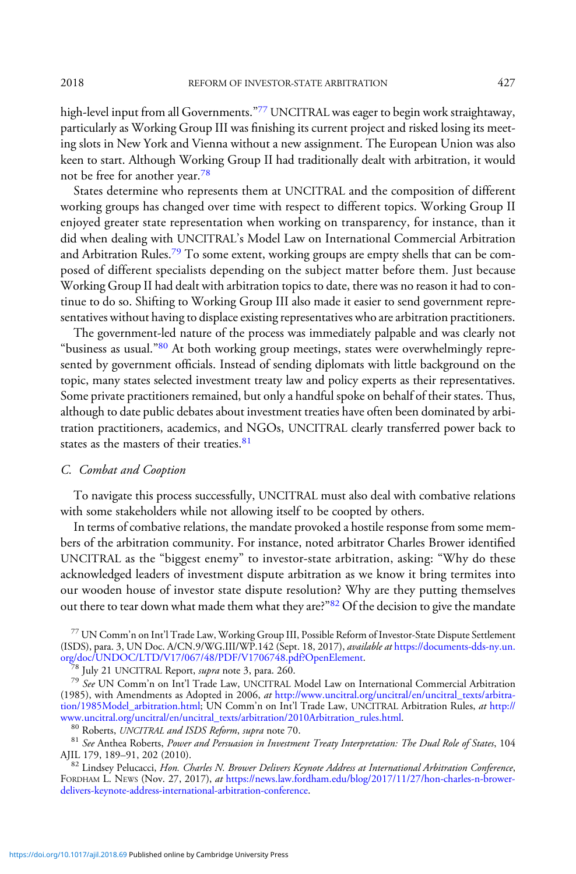high-level input from all Governments."<sup>77</sup> UNCITRAL was eager to begin work straightaway, particularly as Working Group III was finishing its current project and risked losing its meeting slots in New York and Vienna without a new assignment. The European Union was also keen to start. Although Working Group II had traditionally dealt with arbitration, it would not be free for another year.<sup>78</sup>

States determine who represents them at UNCITRAL and the composition of different working groups has changed over time with respect to different topics. Working Group II enjoyed greater state representation when working on transparency, for instance, than it did when dealing with UNCITRAL's Model Law on International Commercial Arbitration and Arbitration Rules.79 To some extent, working groups are empty shells that can be composed of different specialists depending on the subject matter before them. Just because Working Group II had dealt with arbitration topics to date, there was no reason it had to continue to do so. Shifting to Working Group III also made it easier to send government representatives without having to displace existing representatives who are arbitration practitioners.

The government-led nature of the process was immediately palpable and was clearly not "business as usual."<sup>80</sup> At both working group meetings, states were overwhelmingly represented by government officials. Instead of sending diplomats with little background on the topic, many states selected investment treaty law and policy experts as their representatives. Some private practitioners remained, but only a handful spoke on behalf of their states. Thus, although to date public debates about investment treaties have often been dominated by arbitration practitioners, academics, and NGOs, UNCITRAL clearly transferred power back to states as the masters of their treaties.<sup>81</sup>

## C. Combat and Cooption

To navigate this process successfully, UNCITRAL must also deal with combative relations with some stakeholders while not allowing itself to be coopted by others.

In terms of combative relations, the mandate provoked a hostile response from some members of the arbitration community. For instance, noted arbitrator Charles Brower identified UNCITRAL as the "biggest enemy" to investor-state arbitration, asking: "Why do these acknowledged leaders of investment dispute arbitration as we know it bring termites into our wooden house of investor state dispute resolution? Why are they putting themselves out there to tear down what made them what they are?"<sup>82</sup> Of the decision to give the mandate

<sup>77</sup> UN Comm'n on Int'l Trade Law, Working Group III, Possible Reform of Investor-State Dispute Settlement (ISDS), para. 3, UN Doc. A/CN.9/WG.III/WP.142 (Sept. 18, 2017), available at [https://documents-dds-ny.un.](https://documents-dds-ny.un.org/doc/UNDOC/LTD/V17/067/48/PDF/V1706748.pdf?OpenElement) [org/doc/UNDOC/LTD/V17/067/48/PDF/V1706748.pdf?OpenElement](https://documents-dds-ny.un.org/doc/UNDOC/LTD/V17/067/48/PDF/V1706748.pdf?OpenElement).<br><sup>78</sup> July 21 UNCITRAL Report, *supra* note 3, para. 260.<br><sup>79</sup> See UN Comm'n on Int'l Trade Law, UNCITRAL Model Law on International Commercial Arbitration

(1985), with Amendments as Adopted in 2006, at [http://www.uncitral.org/uncitral/en/uncitral\\_texts/arbitra](http://www.uncitral.org/uncitral/en/uncitral_texts/arbitration/1985Model_arbitration.html)[tion/1985Model\\_arbitration.html;](http://www.uncitral.org/uncitral/en/uncitral_texts/arbitration/1985Model_arbitration.html) UN Comm'n on Int'l Trade Law, UNCITRAL Arbitration Rules, at [http://](http://www.uncitral.org/uncitral/en/uncitral_texts/arbitration/2010Arbitration_rules.html)

<sup>80</sup> Roberts, *UNCITRAL and ISDS Reform, supra* note 70.<br><sup>81</sup> *See* Anthea Roberts, *Power and Persuasion in Investment Treaty Interpretation: The Dual Role of States*, 104<br>AJIL 179, 189–91, 202 (2010).

<sup>82</sup> Lindsey Pelucacci, Hon. Charles N. Brower Delivers Keynote Address at International Arbitration Conference, FORDHAM L. NEWS (Nov. 27, 2017), at [https://news.law.fordham.edu/blog/2017/11/27/hon-charles-n-brower](https://news.law.fordham.edu/blog/2017/11/27/hon-charles-n-brower-delivers-keynote-address-international-arbitration-conference)[delivers-keynote-address-international-arbitration-conference.](https://news.law.fordham.edu/blog/2017/11/27/hon-charles-n-brower-delivers-keynote-address-international-arbitration-conference)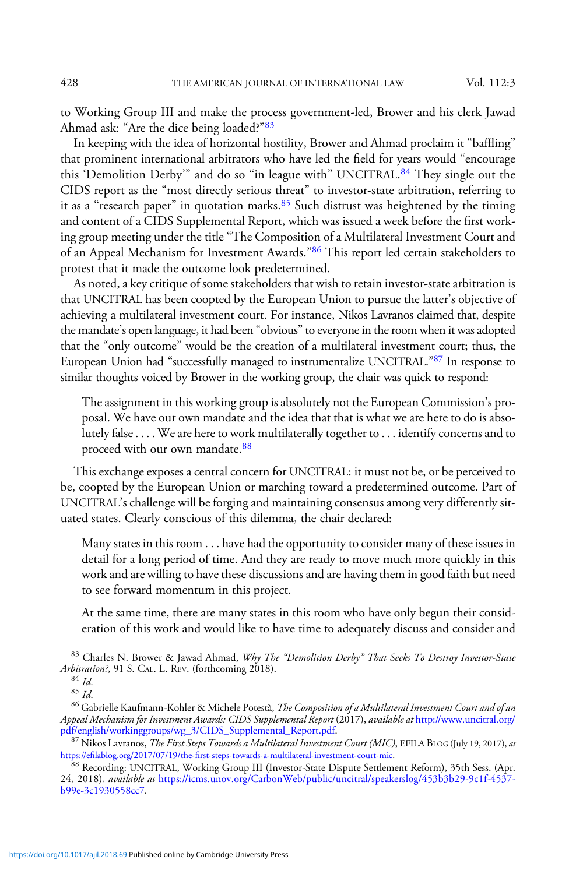to Working Group III and make the process government-led, Brower and his clerk Jawad Ahmad ask: "Are the dice being loaded?"<sup>83</sup>

In keeping with the idea of horizontal hostility, Brower and Ahmad proclaim it "baffling" that prominent international arbitrators who have led the field for years would "encourage this 'Demolition Derby'" and do so "in league with" UNCITRAL.<sup>84</sup> They single out the CIDS report as the "most directly serious threat" to investor-state arbitration, referring to it as a "research paper" in quotation marks. $85$  Such distrust was heightened by the timing and content of a CIDS Supplemental Report, which was issued a week before the first working group meeting under the title "The Composition of a Multilateral Investment Court and of an Appeal Mechanism for Investment Awards."<sup>86</sup> This report led certain stakeholders to protest that it made the outcome look predetermined.

As noted, a key critique of some stakeholders that wish to retain investor-state arbitration is that UNCITRAL has been coopted by the European Union to pursue the latter's objective of achieving a multilateral investment court. For instance, Nikos Lavranos claimed that, despite the mandate's open language, it had been "obvious" to everyone in the room when it was adopted that the "only outcome" would be the creation of a multilateral investment court; thus, the European Union had "successfully managed to instrumentalize UNCITRAL."<sup>87</sup> In response to similar thoughts voiced by Brower in the working group, the chair was quick to respond:

The assignment in this working group is absolutely not the European Commission's proposal. We have our own mandate and the idea that that is what we are here to do is absolutely false . . . . We are here to work multilaterally together to . . . identify concerns and to proceed with our own mandate.<sup>88</sup>

This exchange exposes a central concern for UNCITRAL: it must not be, or be perceived to be, coopted by the European Union or marching toward a predetermined outcome. Part of UNCITRAL's challenge will be forging and maintaining consensus among very differently situated states. Clearly conscious of this dilemma, the chair declared:

Many states in this room . . . have had the opportunity to consider many of these issues in detail for a long period of time. And they are ready to move much more quickly in this work and are willing to have these discussions and are having them in good faith but need to see forward momentum in this project.

At the same time, there are many states in this room who have only begun their consideration of this work and would like to have time to adequately discuss and consider and

 $83$  Charles N. Brower & Jawad Ahmad, *Why The "Demolition Derby" That Seeks To Destroy Investor-State Arbitration*?, 91 S. CAL. L. REV. (forthcoming 2018).

<sup>84</sup> Id.<br><sup>85</sup> Id.<br><sup>86</sup> Gabrielle Kaufmann-Kohler & Michele Potestà, *The Composition of a Multilateral Investment Court and of an* Appeal Mechanism for Investment Awards: CIDS Supplemental Report (2017), available at [http://www.uncitral.org/](http://www.uncitral.org/pdf/english/workinggroups/wg_3/CIDS_Supplemental_Report.pdf)<br>pdf/english/workinggroups/wg\_3/CIDS\_Supplemental\_Report.pdf.

 $^{87}$  Nikos Lavranos, *The First Steps Towards a Multilateral Investment Court (MIC)*, EFILA BLOG (July 19, 2017), *at*<br>https://efilablog.org/2017/07/19/the-first-steps-towards-a-multilateral-investment-court-mic.

<sup>88</sup> Recording: UNCITRAL, Working Group III (Investor-State Dispute Settlement Reform), 35th Sess. (Apr. 24, 2018), available at [https://icms.unov.org/CarbonWeb/public/uncitral/speakerslog/453b3b29-9c1f-4537](https://icms.unov.org/CarbonWeb/public/uncitral/speakerslog/453b3b29-9c1f-4537-b99e-3c1930558cc7) [b99e-3c1930558cc7](https://icms.unov.org/CarbonWeb/public/uncitral/speakerslog/453b3b29-9c1f-4537-b99e-3c1930558cc7).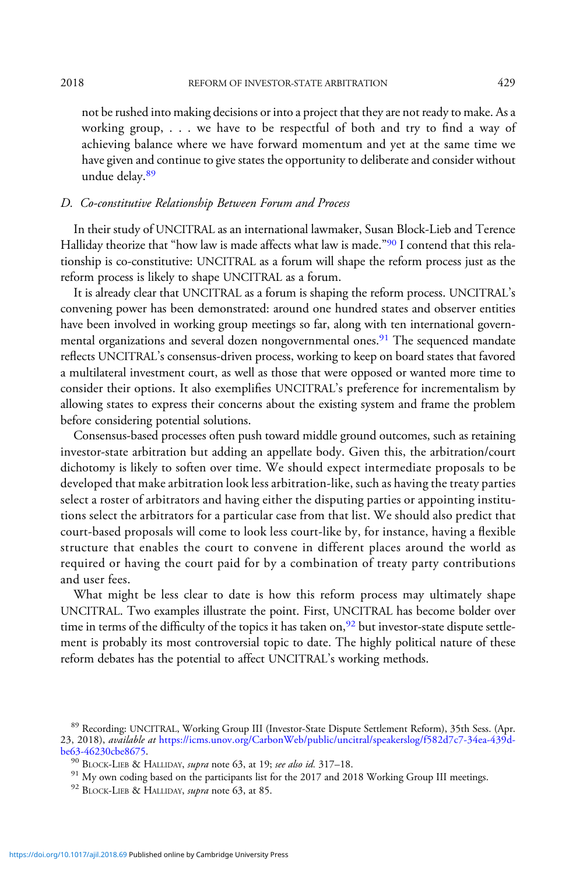not be rushed into making decisions or into a project that they are not ready to make. As a working group, . . . we have to be respectful of both and try to find a way of achieving balance where we have forward momentum and yet at the same time we have given and continue to give states the opportunity to deliberate and consider without undue delay.<sup>89</sup>

#### D. Co-constitutive Relationship Between Forum and Process

In their study of UNCITRAL as an international lawmaker, Susan Block-Lieb and Terence Halliday theorize that "how law is made affects what law is made."<sup>90</sup> I contend that this relationship is co-constitutive: UNCITRAL as a forum will shape the reform process just as the reform process is likely to shape UNCITRAL as a forum.

It is already clear that UNCITRAL as a forum is shaping the reform process. UNCITRAL's convening power has been demonstrated: around one hundred states and observer entities have been involved in working group meetings so far, along with ten international governmental organizations and several dozen nongovernmental ones.<sup>91</sup> The sequenced mandate reflects UNCITRAL's consensus-driven process, working to keep on board states that favored a multilateral investment court, as well as those that were opposed or wanted more time to consider their options. It also exemplifies UNCITRAL's preference for incrementalism by allowing states to express their concerns about the existing system and frame the problem before considering potential solutions.

Consensus-based processes often push toward middle ground outcomes, such as retaining investor-state arbitration but adding an appellate body. Given this, the arbitration/court dichotomy is likely to soften over time. We should expect intermediate proposals to be developed that make arbitration look less arbitration-like, such as having the treaty parties select a roster of arbitrators and having either the disputing parties or appointing institutions select the arbitrators for a particular case from that list. We should also predict that court-based proposals will come to look less court-like by, for instance, having a flexible structure that enables the court to convene in different places around the world as required or having the court paid for by a combination of treaty party contributions and user fees.

What might be less clear to date is how this reform process may ultimately shape UNCITRAL. Two examples illustrate the point. First, UNCITRAL has become bolder over time in terms of the difficulty of the topics it has taken on,<sup>92</sup> but investor-state dispute settlement is probably its most controversial topic to date. The highly political nature of these reform debates has the potential to affect UNCITRAL's working methods.

<sup>&</sup>lt;sup>89</sup> Recording: UNCITRAL, Working Group III (Investor-State Dispute Settlement Reform), 35th Sess. (Apr. 23, 2018), available at https://icms.unov.org/CarbonWeb/public/uncitral/speakerslog/f582d7c7-34ea-439d-<br>be63-46230cbe8675.

<sup>&</sup>lt;sup>90</sup> BLOCK-LIEB & HALLIDAY, *supra* note 63, at 19; *see also id.* 317–18.<br><sup>91</sup> My own coding based on the participants list for the 2017 and 2018 Working Group III meetings.<br><sup>92</sup> BLOCK-LIEB & HALLIDAY, *supra* note 63, a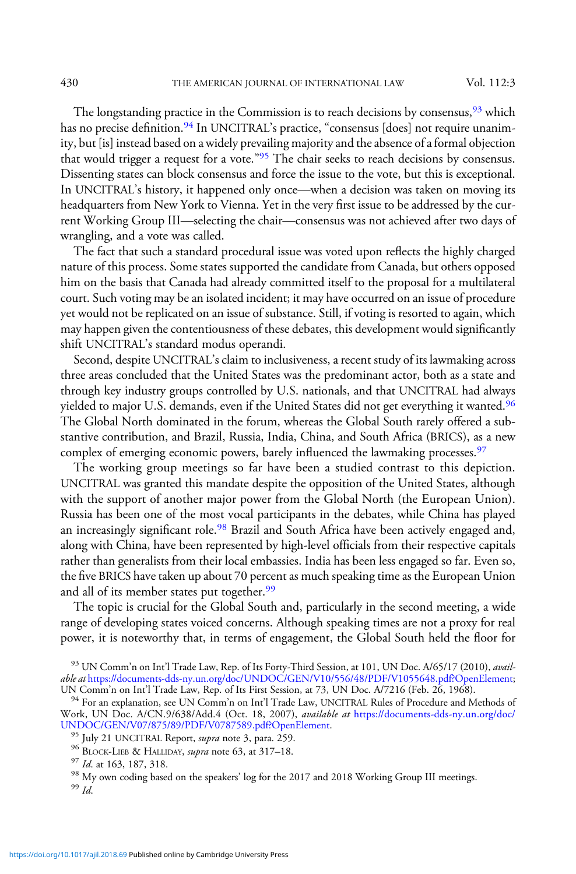The longstanding practice in the Commission is to reach decisions by consensus,<sup>93</sup> which has no precise definition.<sup>94</sup> In UNCITRAL's practice, "consensus [does] not require unanimity, but [is] instead based on a widely prevailing majority and the absence of a formal objection that would trigger a request for a vote."<sup>95</sup> The chair seeks to reach decisions by consensus. Dissenting states can block consensus and force the issue to the vote, but this is exceptional. In UNCITRAL's history, it happened only once—when a decision was taken on moving its headquarters from New York to Vienna. Yet in the very first issue to be addressed by the current Working Group III—selecting the chair—consensus was not achieved after two days of wrangling, and a vote was called.

The fact that such a standard procedural issue was voted upon reflects the highly charged nature of this process. Some states supported the candidate from Canada, but others opposed him on the basis that Canada had already committed itself to the proposal for a multilateral court. Such voting may be an isolated incident; it may have occurred on an issue of procedure yet would not be replicated on an issue of substance. Still, if voting is resorted to again, which may happen given the contentiousness of these debates, this development would significantly shift UNCITRAL's standard modus operandi.

Second, despite UNCITRAL's claim to inclusiveness, a recent study of its lawmaking across three areas concluded that the United States was the predominant actor, both as a state and through key industry groups controlled by U.S. nationals, and that UNCITRAL had always yielded to major U.S. demands, even if the United States did not get everything it wanted.<sup>96</sup> The Global North dominated in the forum, whereas the Global South rarely offered a substantive contribution, and Brazil, Russia, India, China, and South Africa (BRICS), as a new complex of emerging economic powers, barely influenced the lawmaking processes.<sup>97</sup>

The working group meetings so far have been a studied contrast to this depiction. UNCITRAL was granted this mandate despite the opposition of the United States, although with the support of another major power from the Global North (the European Union). Russia has been one of the most vocal participants in the debates, while China has played an increasingly significant role.<sup>98</sup> Brazil and South Africa have been actively engaged and, along with China, have been represented by high-level officials from their respective capitals rather than generalists from their local embassies. India has been less engaged so far. Even so, the five BRICS have taken up about 70 percent as much speaking time as the European Union and all of its member states put together.<sup>99</sup>

The topic is crucial for the Global South and, particularly in the second meeting, a wide range of developing states voiced concerns. Although speaking times are not a proxy for real power, it is noteworthy that, in terms of engagement, the Global South held the floor for

<sup>93</sup> UN Comm'n on Int'l Trade Law, Rep. of Its Forty-Third Session, at 101, UN Doc. A/65/17 (2010), *avail*able at [https://documents-dds-ny.un.org/doc/UNDOC/GEN/V10/556/48/PDF/V1055648.pdf?OpenElement;](https://documents-dds-ny.un.org/doc/UNDOC/GEN/V10/556/48/PDF/V1055648.pdf?OpenElement) UN Comm'n on Int'l Trade Law, Rep. of Its First Session, at 73, UN Doc. A/7216 (Feb. 26, 1968).

<sup>94</sup> For an explanation, see UN Comm'n on Int'l Trade Law, UNCITRAL Rules of Procedure and Methods of Work, UN Doc. A/CN.9/638/Add.4 (Oct. 18, 2007), *available at* [https://documents-dds-ny.un.org/doc/](https://documents-dds-ny.un.org/doc/UNDOC/GEN/V07/875/89/PDF/V0787589.pdf?OpenElement)<br>UNDOC/GEN/V07/875/89/PDF/V0787589.pdf?OpenElement.

<sup>95</sup> July 21 UNCITRAL Report, *supra* note 3, para. 259.<br><sup>96</sup> BLOCK-LIEB & HALLIDAY, *supra* note 63, at 317–18.<br><sup>97</sup> *Id.* at 163, 187, 318.<br><sup>98</sup> My own coding based on the speakers' log for the 2017 and 2018 Working Gro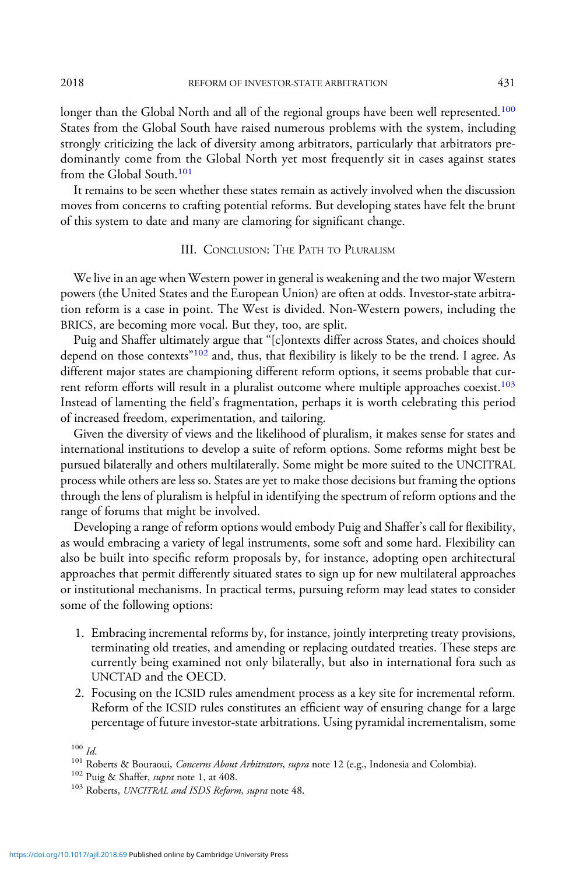longer than the Global North and all of the regional groups have been well represented.<sup>100</sup> States from the Global South have raised numerous problems with the system, including strongly criticizing the lack of diversity among arbitrators, particularly that arbitrators predominantly come from the Global North yet most frequently sit in cases against states from the Global South.<sup>101</sup>

It remains to be seen whether these states remain as actively involved when the discussion moves from concerns to crafting potential reforms. But developing states have felt the brunt of this system to date and many are clamoring for significant change.

## III. CONCLUSION: THE PATH TO PLURALISM

We live in an age when Western power in general is weakening and the two major Western powers (the United States and the European Union) are often at odds. Investor-state arbitration reform is a case in point. The West is divided. Non-Western powers, including the BRICS, are becoming more vocal. But they, too, are split.

Puig and Shaffer ultimately argue that "[c]ontexts differ across States, and choices should depend on those contexts"<sup>102</sup> and, thus, that flexibility is likely to be the trend. I agree. As different major states are championing different reform options, it seems probable that current reform efforts will result in a pluralist outcome where multiple approaches coexist.<sup>103</sup> Instead of lamenting the field's fragmentation, perhaps it is worth celebrating this period of increased freedom, experimentation, and tailoring.

Given the diversity of views and the likelihood of pluralism, it makes sense for states and international institutions to develop a suite of reform options. Some reforms might best be pursued bilaterally and others multilaterally. Some might be more suited to the UNCITRAL process while others are less so. States are yet to make those decisions but framing the options through the lens of pluralism is helpful in identifying the spectrum of reform options and the range of forums that might be involved.

Developing a range of reform options would embody Puig and Shaffer's call for flexibility, as would embracing a variety of legal instruments, some soft and some hard. Flexibility can also be built into specific reform proposals by, for instance, adopting open architectural approaches that permit differently situated states to sign up for new multilateral approaches or institutional mechanisms. In practical terms, pursuing reform may lead states to consider some of the following options:

- 1. Embracing incremental reforms by, for instance, jointly interpreting treaty provisions, terminating old treaties, and amending or replacing outdated treaties. These steps are currently being examined not only bilaterally, but also in international fora such as UNCTAD and the OECD.
- 2. Focusing on the ICSID rules amendment process as a key site for incremental reform. Reform of the ICSID rules constitutes an efficient way of ensuring change for a large percentage of future investor-state arbitrations. Using pyramidal incrementalism, some

<sup>&</sup>lt;sup>100</sup> Id.<br><sup>101</sup> Roberts & Bouraoui, *Concerns About Arbitrators, supra* note 12 (e.g., Indonesia and Colombia).<br><sup>102</sup> Puig & Shaffer, *supra* note 1, at 408.<br><sup>103</sup> Roberts, *UNCITRAL and ISDS Reform, supra* note 48.